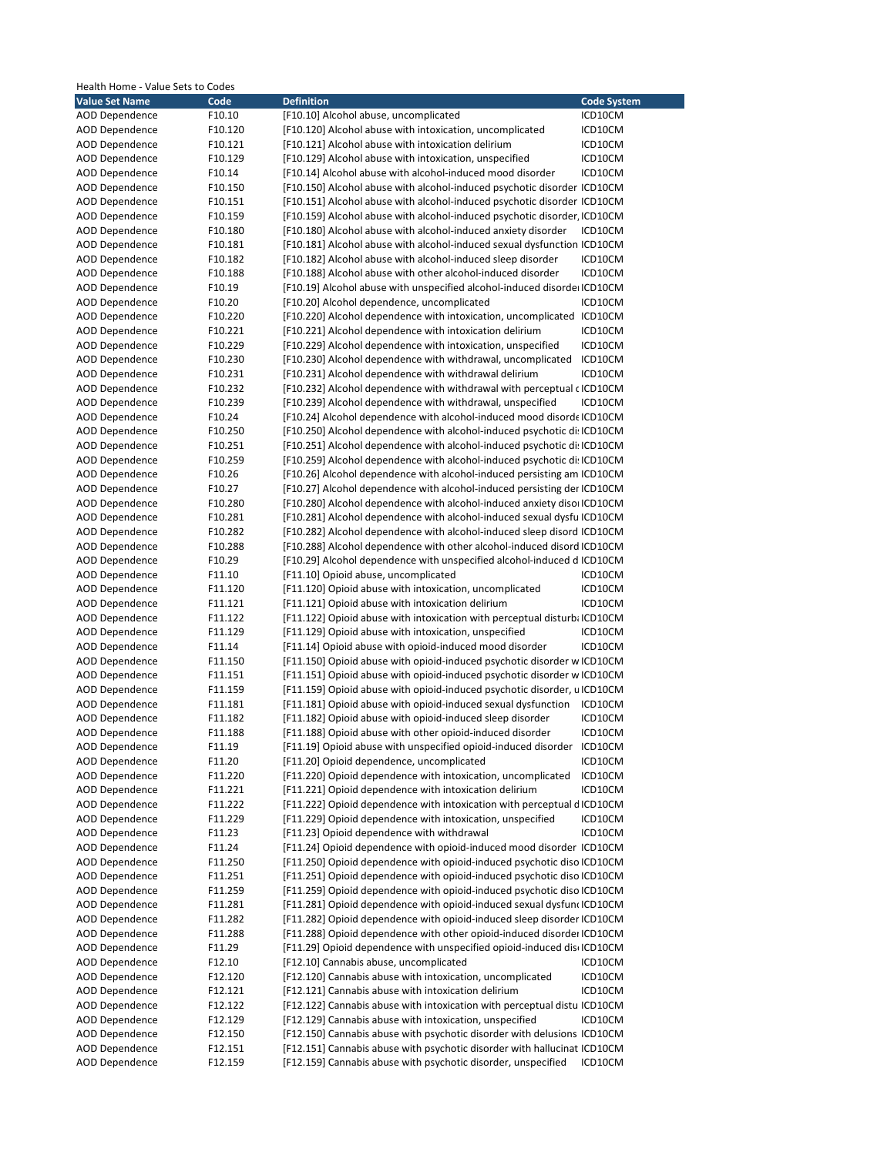| <b>Definition</b><br><b>Value Set Name</b><br>Code<br><b>Code System</b><br>F10.10<br>AOD Dependence<br>[F10.10] Alcohol abuse, uncomplicated<br>ICD10CM<br>AOD Dependence<br>F10.120<br>[F10.120] Alcohol abuse with intoxication, uncomplicated<br>ICD10CM<br><b>AOD Dependence</b><br>[F10.121] Alcohol abuse with intoxication delirium<br>F10.121<br>ICD10CM<br><b>AOD Dependence</b><br>F10.129<br>[F10.129] Alcohol abuse with intoxication, unspecified<br>ICD10CM<br>[F10.14] Alcohol abuse with alcohol-induced mood disorder<br><b>AOD Dependence</b><br>F10.14<br>ICD10CM<br>AOD Dependence<br>[F10.150] Alcohol abuse with alcohol-induced psychotic disorder ICD10CM<br>F10.150<br><b>AOD Dependence</b><br>F10.151<br>[F10.151] Alcohol abuse with alcohol-induced psychotic disorder ICD10CM<br><b>AOD Dependence</b><br>[F10.159] Alcohol abuse with alcohol-induced psychotic disorder, ICD10CM<br>F10.159<br><b>AOD Dependence</b><br>[F10.180] Alcohol abuse with alcohol-induced anxiety disorder<br>F10.180<br>ICD10CM<br>[F10.181] Alcohol abuse with alcohol-induced sexual dysfunction ICD10CM<br>AOD Dependence<br>F10.181<br><b>AOD Dependence</b><br>F10.182<br>[F10.182] Alcohol abuse with alcohol-induced sleep disorder<br>ICD10CM<br><b>AOD Dependence</b><br>[F10.188] Alcohol abuse with other alcohol-induced disorder<br>F10.188<br>ICD10CM<br><b>AOD Dependence</b><br>F10.19<br>[F10.19] Alcohol abuse with unspecified alcohol-induced disorde ICD10CM<br>[F10.20] Alcohol dependence, uncomplicated<br>AOD Dependence<br>F10.20<br>ICD10CM<br><b>AOD Dependence</b><br>F10.220<br>[F10.220] Alcohol dependence with intoxication, uncomplicated ICD10CM<br><b>AOD Dependence</b><br>F10.221<br>[F10.221] Alcohol dependence with intoxication delirium<br>ICD10CM<br>[F10.229] Alcohol dependence with intoxication, unspecified<br>AOD Dependence<br>F10.229<br>ICD10CM<br><b>AOD Dependence</b><br>F10.230<br>[F10.230] Alcohol dependence with withdrawal, uncomplicated<br>ICD10CM<br><b>AOD Dependence</b><br>[F10.231] Alcohol dependence with withdrawal delirium<br>F10.231<br>ICD10CM<br><b>AOD Dependence</b><br>F10.232<br>[F10.232] Alcohol dependence with withdrawal with perceptual c ICD10CM<br>F10.239<br>[F10.239] Alcohol dependence with withdrawal, unspecified<br>AOD Dependence<br>ICD10CM<br>AOD Dependence<br>F10.24<br>[F10.24] Alcohol dependence with alcohol-induced mood disorde ICD10CM<br><b>AOD Dependence</b><br>F10.250<br>[F10.250] Alcohol dependence with alcohol-induced psychotic di: ICD10CM<br><b>AOD Dependence</b><br>F10.251<br>[F10.251] Alcohol dependence with alcohol-induced psychotic di: ICD10CM<br><b>AOD Dependence</b><br>F10.259<br>[F10.259] Alcohol dependence with alcohol-induced psychotic di: ICD10CM<br>[F10.26] Alcohol dependence with alcohol-induced persisting am ICD10CM<br>AOD Dependence<br>F10.26<br>F10.27<br>[F10.27] Alcohol dependence with alcohol-induced persisting der ICD10CM<br>AOD Dependence<br><b>AOD Dependence</b><br>[F10.280] Alcohol dependence with alcohol-induced anxiety disor ICD10CM<br>F10.280<br><b>AOD Dependence</b><br>F10.281<br>[F10.281] Alcohol dependence with alcohol-induced sexual dysfu ICD10CM<br>[F10.282] Alcohol dependence with alcohol-induced sleep disord ICD10CM<br>AOD Dependence<br>F10.282<br>[F10.288] Alcohol dependence with other alcohol-induced disord ICD10CM<br>AOD Dependence<br>F10.288<br><b>AOD Dependence</b><br>F10.29<br>[F10.29] Alcohol dependence with unspecified alcohol-induced d ICD10CM<br><b>AOD Dependence</b><br>[F11.10] Opioid abuse, uncomplicated<br>F11.10<br>ICD10CM<br>AOD Dependence<br>[F11.120] Opioid abuse with intoxication, uncomplicated<br>F11.120<br>ICD10CM<br>F11.121<br>[F11.121] Opioid abuse with intoxication delirium<br>AOD Dependence<br>ICD10CM<br><b>AOD Dependence</b><br>[F11.122] Opioid abuse with intoxication with perceptual disturb: ICD10CM<br>F11.122<br><b>AOD Dependence</b><br>[F11.129] Opioid abuse with intoxication, unspecified<br>F11.129<br>ICD10CM<br>F11.14<br>[F11.14] Opioid abuse with opioid-induced mood disorder<br>AOD Dependence<br>ICD10CM<br>[F11.150] Opioid abuse with opioid-induced psychotic disorder w ICD10CM<br>AOD Dependence<br>F11.150<br><b>AOD Dependence</b><br>F11.151<br>[F11.151] Opioid abuse with opioid-induced psychotic disorder w ICD10CM<br><b>AOD Dependence</b><br>F11.159<br>[F11.159] Opioid abuse with opioid-induced psychotic disorder, u ICD10CM<br><b>AOD Dependence</b><br>[F11.181] Opioid abuse with opioid-induced sexual dysfunction<br>F11.181<br>ICD10CM<br><b>AOD Dependence</b><br>F11.182<br>[F11.182] Opioid abuse with opioid-induced sleep disorder<br>ICD10CM<br>AOD Dependence<br>F11.188<br>[F11.188] Opioid abuse with other opioid-induced disorder<br>ICD10CM<br>AOD Dependence<br>[F11.19] Opioid abuse with unspecified opioid-induced disorder<br>F11.19<br>ICD10CM<br>[F11.20] Opioid dependence, uncomplicated<br><b>AOD Dependence</b><br>F11.20<br>ICD10CM<br>[F11.220] Opioid dependence with intoxication, uncomplicated<br>AOD Dependence<br>ICD10CM<br>F11.220<br>[F11.221] Opioid dependence with intoxication delirium<br><b>AOD Dependence</b><br>F11.221<br>ICD10CM<br>[F11.222] Opioid dependence with intoxication with perceptual dICD10CM<br><b>AOD Dependence</b><br>F11.222<br>[F11.229] Opioid dependence with intoxication, unspecified<br><b>AOD Dependence</b><br>F11.229<br>ICD10CM<br>[F11.23] Opioid dependence with withdrawal<br>AOD Dependence<br>F11.23<br>ICD10CM<br>AOD Dependence<br>[F11.24] Opioid dependence with opioid-induced mood disorder ICD10CM<br>F11.24<br>[F11.250] Opioid dependence with opioid-induced psychotic diso ICD10CM<br><b>AOD Dependence</b><br>F11.250<br>[F11.251] Opioid dependence with opioid-induced psychotic diso ICD10CM<br><b>AOD Dependence</b><br>F11.251<br><b>AOD Dependence</b><br>[F11.259] Opioid dependence with opioid-induced psychotic diso ICD10CM<br>F11.259<br>[F11.281] Opioid dependence with opioid-induced sexual dysfund ICD10CM<br>AOD Dependence<br>F11.281<br>[F11.282] Opioid dependence with opioid-induced sleep disorder ICD10CM<br><b>AOD Dependence</b><br>F11.282<br>[F11.288] Opioid dependence with other opioid-induced disorder ICD10CM<br><b>AOD Dependence</b><br>F11.288<br>[F11.29] Opioid dependence with unspecified opioid-induced dis ICD10CM<br><b>AOD Dependence</b><br>F11.29<br>[F12.10] Cannabis abuse, uncomplicated<br>AOD Dependence<br>F12.10<br>ICD10CM<br><b>AOD Dependence</b><br>[F12.120] Cannabis abuse with intoxication, uncomplicated<br>F12.120<br>ICD10CM<br>[F12.121] Cannabis abuse with intoxication delirium<br><b>AOD Dependence</b><br>F12.121<br>ICD10CM<br>AOD Dependence<br>F12.122<br>[F12.122] Cannabis abuse with intoxication with perceptual distu ICD10CM<br>AOD Dependence<br>[F12.129] Cannabis abuse with intoxication, unspecified<br>F12.129<br>ICD10CM<br><b>AOD Dependence</b><br>[F12.150] Cannabis abuse with psychotic disorder with delusions ICD10CM<br>F12.150<br>[F12.151] Cannabis abuse with psychotic disorder with hallucinat ICD10CM<br><b>AOD Dependence</b><br>F12.151<br>[F12.159] Cannabis abuse with psychotic disorder, unspecified<br><b>AOD Dependence</b><br>F12.159<br>ICD10CM | Health Home - Value Sets to Codes |  |  |
|-----------------------------------------------------------------------------------------------------------------------------------------------------------------------------------------------------------------------------------------------------------------------------------------------------------------------------------------------------------------------------------------------------------------------------------------------------------------------------------------------------------------------------------------------------------------------------------------------------------------------------------------------------------------------------------------------------------------------------------------------------------------------------------------------------------------------------------------------------------------------------------------------------------------------------------------------------------------------------------------------------------------------------------------------------------------------------------------------------------------------------------------------------------------------------------------------------------------------------------------------------------------------------------------------------------------------------------------------------------------------------------------------------------------------------------------------------------------------------------------------------------------------------------------------------------------------------------------------------------------------------------------------------------------------------------------------------------------------------------------------------------------------------------------------------------------------------------------------------------------------------------------------------------------------------------------------------------------------------------------------------------------------------------------------------------------------------------------------------------------------------------------------------------------------------------------------------------------------------------------------------------------------------------------------------------------------------------------------------------------------------------------------------------------------------------------------------------------------------------------------------------------------------------------------------------------------------------------------------------------------------------------------------------------------------------------------------------------------------------------------------------------------------------------------------------------------------------------------------------------------------------------------------------------------------------------------------------------------------------------------------------------------------------------------------------------------------------------------------------------------------------------------------------------------------------------------------------------------------------------------------------------------------------------------------------------------------------------------------------------------------------------------------------------------------------------------------------------------------------------------------------------------------------------------------------------------------------------------------------------------------------------------------------------------------------------------------------------------------------------------------------------------------------------------------------------------------------------------------------------------------------------------------------------------------------------------------------------------------------------------------------------------------------------------------------------------------------------------------------------------------------------------------------------------------------------------------------------------------------------------------------------------------------------------------------------------------------------------------------------------------------------------------------------------------------------------------------------------------------------------------------------------------------------------------------------------------------------------------------------------------------------------------------------------------------------------------------------------------------------------------------------------------------------------------------------------------------------------------------------------------------------------------------------------------------------------------------------------------------------------------------------------------------------------------------------------------------------------------------------------------------------------------------------------------------------------------------------------------------------------------------------------------------------------------------------------------------------------------------------------------------------------------------------------------------------------------------------------------------------------------------------------------------------------------------------------------------------------------------------------------------------------------------------------------------------------------------------------------------------------------------------------------------------------------------------------------------------------------------------------------------------------------------------------------------------------------------------------------------------------------------------------------------------------------------------------------------------------------------------------------------------------------------------------------------------------------------------------------------------------------------------------------------------------------------------------------------------------------------------------------------------------------------------------------------------------------------------------------------------------------------------------------------------------------------------------------------------------------------------------------------------------------------------------------------------------------------------------------------------------------------------------------------------------------------------------------------------------------------------------------------------------------------------------------------------------------------------------------------------------------------------------------------------------------------------------------------------------------------------------------------------------------------------------------------------------------------------------------------------------------------------------------------------------------------------------------------------------------------------------------|-----------------------------------|--|--|
|                                                                                                                                                                                                                                                                                                                                                                                                                                                                                                                                                                                                                                                                                                                                                                                                                                                                                                                                                                                                                                                                                                                                                                                                                                                                                                                                                                                                                                                                                                                                                                                                                                                                                                                                                                                                                                                                                                                                                                                                                                                                                                                                                                                                                                                                                                                                                                                                                                                                                                                                                                                                                                                                                                                                                                                                                                                                                                                                                                                                                                                                                                                                                                                                                                                                                                                                                                                                                                                                                                                                                                                                                                                                                                                                                                                                                                                                                                                                                                                                                                                                                                                                                                                                                                                                                                                                                                                                                                                                                                                                                                                                                                                                                                                                                                                                                                                                                                                                                                                                                                                                                                                                                                                                                                                                                                                                                                                                                                                                                                                                                                                                                                                                                                                                                                                                                                                                                                                                                                                                                                                                                                                                                                                                                                                                                                                                                                                                                                                                                                                                                                                                                                                                                                                                                                                                                                                                                                                                                                                                                                                                                                                                                                                                                                                                                                                                                                             |                                   |  |  |
|                                                                                                                                                                                                                                                                                                                                                                                                                                                                                                                                                                                                                                                                                                                                                                                                                                                                                                                                                                                                                                                                                                                                                                                                                                                                                                                                                                                                                                                                                                                                                                                                                                                                                                                                                                                                                                                                                                                                                                                                                                                                                                                                                                                                                                                                                                                                                                                                                                                                                                                                                                                                                                                                                                                                                                                                                                                                                                                                                                                                                                                                                                                                                                                                                                                                                                                                                                                                                                                                                                                                                                                                                                                                                                                                                                                                                                                                                                                                                                                                                                                                                                                                                                                                                                                                                                                                                                                                                                                                                                                                                                                                                                                                                                                                                                                                                                                                                                                                                                                                                                                                                                                                                                                                                                                                                                                                                                                                                                                                                                                                                                                                                                                                                                                                                                                                                                                                                                                                                                                                                                                                                                                                                                                                                                                                                                                                                                                                                                                                                                                                                                                                                                                                                                                                                                                                                                                                                                                                                                                                                                                                                                                                                                                                                                                                                                                                                                             |                                   |  |  |
|                                                                                                                                                                                                                                                                                                                                                                                                                                                                                                                                                                                                                                                                                                                                                                                                                                                                                                                                                                                                                                                                                                                                                                                                                                                                                                                                                                                                                                                                                                                                                                                                                                                                                                                                                                                                                                                                                                                                                                                                                                                                                                                                                                                                                                                                                                                                                                                                                                                                                                                                                                                                                                                                                                                                                                                                                                                                                                                                                                                                                                                                                                                                                                                                                                                                                                                                                                                                                                                                                                                                                                                                                                                                                                                                                                                                                                                                                                                                                                                                                                                                                                                                                                                                                                                                                                                                                                                                                                                                                                                                                                                                                                                                                                                                                                                                                                                                                                                                                                                                                                                                                                                                                                                                                                                                                                                                                                                                                                                                                                                                                                                                                                                                                                                                                                                                                                                                                                                                                                                                                                                                                                                                                                                                                                                                                                                                                                                                                                                                                                                                                                                                                                                                                                                                                                                                                                                                                                                                                                                                                                                                                                                                                                                                                                                                                                                                                                             |                                   |  |  |
|                                                                                                                                                                                                                                                                                                                                                                                                                                                                                                                                                                                                                                                                                                                                                                                                                                                                                                                                                                                                                                                                                                                                                                                                                                                                                                                                                                                                                                                                                                                                                                                                                                                                                                                                                                                                                                                                                                                                                                                                                                                                                                                                                                                                                                                                                                                                                                                                                                                                                                                                                                                                                                                                                                                                                                                                                                                                                                                                                                                                                                                                                                                                                                                                                                                                                                                                                                                                                                                                                                                                                                                                                                                                                                                                                                                                                                                                                                                                                                                                                                                                                                                                                                                                                                                                                                                                                                                                                                                                                                                                                                                                                                                                                                                                                                                                                                                                                                                                                                                                                                                                                                                                                                                                                                                                                                                                                                                                                                                                                                                                                                                                                                                                                                                                                                                                                                                                                                                                                                                                                                                                                                                                                                                                                                                                                                                                                                                                                                                                                                                                                                                                                                                                                                                                                                                                                                                                                                                                                                                                                                                                                                                                                                                                                                                                                                                                                                             |                                   |  |  |
|                                                                                                                                                                                                                                                                                                                                                                                                                                                                                                                                                                                                                                                                                                                                                                                                                                                                                                                                                                                                                                                                                                                                                                                                                                                                                                                                                                                                                                                                                                                                                                                                                                                                                                                                                                                                                                                                                                                                                                                                                                                                                                                                                                                                                                                                                                                                                                                                                                                                                                                                                                                                                                                                                                                                                                                                                                                                                                                                                                                                                                                                                                                                                                                                                                                                                                                                                                                                                                                                                                                                                                                                                                                                                                                                                                                                                                                                                                                                                                                                                                                                                                                                                                                                                                                                                                                                                                                                                                                                                                                                                                                                                                                                                                                                                                                                                                                                                                                                                                                                                                                                                                                                                                                                                                                                                                                                                                                                                                                                                                                                                                                                                                                                                                                                                                                                                                                                                                                                                                                                                                                                                                                                                                                                                                                                                                                                                                                                                                                                                                                                                                                                                                                                                                                                                                                                                                                                                                                                                                                                                                                                                                                                                                                                                                                                                                                                                                             |                                   |  |  |
|                                                                                                                                                                                                                                                                                                                                                                                                                                                                                                                                                                                                                                                                                                                                                                                                                                                                                                                                                                                                                                                                                                                                                                                                                                                                                                                                                                                                                                                                                                                                                                                                                                                                                                                                                                                                                                                                                                                                                                                                                                                                                                                                                                                                                                                                                                                                                                                                                                                                                                                                                                                                                                                                                                                                                                                                                                                                                                                                                                                                                                                                                                                                                                                                                                                                                                                                                                                                                                                                                                                                                                                                                                                                                                                                                                                                                                                                                                                                                                                                                                                                                                                                                                                                                                                                                                                                                                                                                                                                                                                                                                                                                                                                                                                                                                                                                                                                                                                                                                                                                                                                                                                                                                                                                                                                                                                                                                                                                                                                                                                                                                                                                                                                                                                                                                                                                                                                                                                                                                                                                                                                                                                                                                                                                                                                                                                                                                                                                                                                                                                                                                                                                                                                                                                                                                                                                                                                                                                                                                                                                                                                                                                                                                                                                                                                                                                                                                             |                                   |  |  |
|                                                                                                                                                                                                                                                                                                                                                                                                                                                                                                                                                                                                                                                                                                                                                                                                                                                                                                                                                                                                                                                                                                                                                                                                                                                                                                                                                                                                                                                                                                                                                                                                                                                                                                                                                                                                                                                                                                                                                                                                                                                                                                                                                                                                                                                                                                                                                                                                                                                                                                                                                                                                                                                                                                                                                                                                                                                                                                                                                                                                                                                                                                                                                                                                                                                                                                                                                                                                                                                                                                                                                                                                                                                                                                                                                                                                                                                                                                                                                                                                                                                                                                                                                                                                                                                                                                                                                                                                                                                                                                                                                                                                                                                                                                                                                                                                                                                                                                                                                                                                                                                                                                                                                                                                                                                                                                                                                                                                                                                                                                                                                                                                                                                                                                                                                                                                                                                                                                                                                                                                                                                                                                                                                                                                                                                                                                                                                                                                                                                                                                                                                                                                                                                                                                                                                                                                                                                                                                                                                                                                                                                                                                                                                                                                                                                                                                                                                                             |                                   |  |  |
|                                                                                                                                                                                                                                                                                                                                                                                                                                                                                                                                                                                                                                                                                                                                                                                                                                                                                                                                                                                                                                                                                                                                                                                                                                                                                                                                                                                                                                                                                                                                                                                                                                                                                                                                                                                                                                                                                                                                                                                                                                                                                                                                                                                                                                                                                                                                                                                                                                                                                                                                                                                                                                                                                                                                                                                                                                                                                                                                                                                                                                                                                                                                                                                                                                                                                                                                                                                                                                                                                                                                                                                                                                                                                                                                                                                                                                                                                                                                                                                                                                                                                                                                                                                                                                                                                                                                                                                                                                                                                                                                                                                                                                                                                                                                                                                                                                                                                                                                                                                                                                                                                                                                                                                                                                                                                                                                                                                                                                                                                                                                                                                                                                                                                                                                                                                                                                                                                                                                                                                                                                                                                                                                                                                                                                                                                                                                                                                                                                                                                                                                                                                                                                                                                                                                                                                                                                                                                                                                                                                                                                                                                                                                                                                                                                                                                                                                                                             |                                   |  |  |
|                                                                                                                                                                                                                                                                                                                                                                                                                                                                                                                                                                                                                                                                                                                                                                                                                                                                                                                                                                                                                                                                                                                                                                                                                                                                                                                                                                                                                                                                                                                                                                                                                                                                                                                                                                                                                                                                                                                                                                                                                                                                                                                                                                                                                                                                                                                                                                                                                                                                                                                                                                                                                                                                                                                                                                                                                                                                                                                                                                                                                                                                                                                                                                                                                                                                                                                                                                                                                                                                                                                                                                                                                                                                                                                                                                                                                                                                                                                                                                                                                                                                                                                                                                                                                                                                                                                                                                                                                                                                                                                                                                                                                                                                                                                                                                                                                                                                                                                                                                                                                                                                                                                                                                                                                                                                                                                                                                                                                                                                                                                                                                                                                                                                                                                                                                                                                                                                                                                                                                                                                                                                                                                                                                                                                                                                                                                                                                                                                                                                                                                                                                                                                                                                                                                                                                                                                                                                                                                                                                                                                                                                                                                                                                                                                                                                                                                                                                             |                                   |  |  |
|                                                                                                                                                                                                                                                                                                                                                                                                                                                                                                                                                                                                                                                                                                                                                                                                                                                                                                                                                                                                                                                                                                                                                                                                                                                                                                                                                                                                                                                                                                                                                                                                                                                                                                                                                                                                                                                                                                                                                                                                                                                                                                                                                                                                                                                                                                                                                                                                                                                                                                                                                                                                                                                                                                                                                                                                                                                                                                                                                                                                                                                                                                                                                                                                                                                                                                                                                                                                                                                                                                                                                                                                                                                                                                                                                                                                                                                                                                                                                                                                                                                                                                                                                                                                                                                                                                                                                                                                                                                                                                                                                                                                                                                                                                                                                                                                                                                                                                                                                                                                                                                                                                                                                                                                                                                                                                                                                                                                                                                                                                                                                                                                                                                                                                                                                                                                                                                                                                                                                                                                                                                                                                                                                                                                                                                                                                                                                                                                                                                                                                                                                                                                                                                                                                                                                                                                                                                                                                                                                                                                                                                                                                                                                                                                                                                                                                                                                                             |                                   |  |  |
|                                                                                                                                                                                                                                                                                                                                                                                                                                                                                                                                                                                                                                                                                                                                                                                                                                                                                                                                                                                                                                                                                                                                                                                                                                                                                                                                                                                                                                                                                                                                                                                                                                                                                                                                                                                                                                                                                                                                                                                                                                                                                                                                                                                                                                                                                                                                                                                                                                                                                                                                                                                                                                                                                                                                                                                                                                                                                                                                                                                                                                                                                                                                                                                                                                                                                                                                                                                                                                                                                                                                                                                                                                                                                                                                                                                                                                                                                                                                                                                                                                                                                                                                                                                                                                                                                                                                                                                                                                                                                                                                                                                                                                                                                                                                                                                                                                                                                                                                                                                                                                                                                                                                                                                                                                                                                                                                                                                                                                                                                                                                                                                                                                                                                                                                                                                                                                                                                                                                                                                                                                                                                                                                                                                                                                                                                                                                                                                                                                                                                                                                                                                                                                                                                                                                                                                                                                                                                                                                                                                                                                                                                                                                                                                                                                                                                                                                                                             |                                   |  |  |
|                                                                                                                                                                                                                                                                                                                                                                                                                                                                                                                                                                                                                                                                                                                                                                                                                                                                                                                                                                                                                                                                                                                                                                                                                                                                                                                                                                                                                                                                                                                                                                                                                                                                                                                                                                                                                                                                                                                                                                                                                                                                                                                                                                                                                                                                                                                                                                                                                                                                                                                                                                                                                                                                                                                                                                                                                                                                                                                                                                                                                                                                                                                                                                                                                                                                                                                                                                                                                                                                                                                                                                                                                                                                                                                                                                                                                                                                                                                                                                                                                                                                                                                                                                                                                                                                                                                                                                                                                                                                                                                                                                                                                                                                                                                                                                                                                                                                                                                                                                                                                                                                                                                                                                                                                                                                                                                                                                                                                                                                                                                                                                                                                                                                                                                                                                                                                                                                                                                                                                                                                                                                                                                                                                                                                                                                                                                                                                                                                                                                                                                                                                                                                                                                                                                                                                                                                                                                                                                                                                                                                                                                                                                                                                                                                                                                                                                                                                             |                                   |  |  |
|                                                                                                                                                                                                                                                                                                                                                                                                                                                                                                                                                                                                                                                                                                                                                                                                                                                                                                                                                                                                                                                                                                                                                                                                                                                                                                                                                                                                                                                                                                                                                                                                                                                                                                                                                                                                                                                                                                                                                                                                                                                                                                                                                                                                                                                                                                                                                                                                                                                                                                                                                                                                                                                                                                                                                                                                                                                                                                                                                                                                                                                                                                                                                                                                                                                                                                                                                                                                                                                                                                                                                                                                                                                                                                                                                                                                                                                                                                                                                                                                                                                                                                                                                                                                                                                                                                                                                                                                                                                                                                                                                                                                                                                                                                                                                                                                                                                                                                                                                                                                                                                                                                                                                                                                                                                                                                                                                                                                                                                                                                                                                                                                                                                                                                                                                                                                                                                                                                                                                                                                                                                                                                                                                                                                                                                                                                                                                                                                                                                                                                                                                                                                                                                                                                                                                                                                                                                                                                                                                                                                                                                                                                                                                                                                                                                                                                                                                                             |                                   |  |  |
|                                                                                                                                                                                                                                                                                                                                                                                                                                                                                                                                                                                                                                                                                                                                                                                                                                                                                                                                                                                                                                                                                                                                                                                                                                                                                                                                                                                                                                                                                                                                                                                                                                                                                                                                                                                                                                                                                                                                                                                                                                                                                                                                                                                                                                                                                                                                                                                                                                                                                                                                                                                                                                                                                                                                                                                                                                                                                                                                                                                                                                                                                                                                                                                                                                                                                                                                                                                                                                                                                                                                                                                                                                                                                                                                                                                                                                                                                                                                                                                                                                                                                                                                                                                                                                                                                                                                                                                                                                                                                                                                                                                                                                                                                                                                                                                                                                                                                                                                                                                                                                                                                                                                                                                                                                                                                                                                                                                                                                                                                                                                                                                                                                                                                                                                                                                                                                                                                                                                                                                                                                                                                                                                                                                                                                                                                                                                                                                                                                                                                                                                                                                                                                                                                                                                                                                                                                                                                                                                                                                                                                                                                                                                                                                                                                                                                                                                                                             |                                   |  |  |
|                                                                                                                                                                                                                                                                                                                                                                                                                                                                                                                                                                                                                                                                                                                                                                                                                                                                                                                                                                                                                                                                                                                                                                                                                                                                                                                                                                                                                                                                                                                                                                                                                                                                                                                                                                                                                                                                                                                                                                                                                                                                                                                                                                                                                                                                                                                                                                                                                                                                                                                                                                                                                                                                                                                                                                                                                                                                                                                                                                                                                                                                                                                                                                                                                                                                                                                                                                                                                                                                                                                                                                                                                                                                                                                                                                                                                                                                                                                                                                                                                                                                                                                                                                                                                                                                                                                                                                                                                                                                                                                                                                                                                                                                                                                                                                                                                                                                                                                                                                                                                                                                                                                                                                                                                                                                                                                                                                                                                                                                                                                                                                                                                                                                                                                                                                                                                                                                                                                                                                                                                                                                                                                                                                                                                                                                                                                                                                                                                                                                                                                                                                                                                                                                                                                                                                                                                                                                                                                                                                                                                                                                                                                                                                                                                                                                                                                                                                             |                                   |  |  |
|                                                                                                                                                                                                                                                                                                                                                                                                                                                                                                                                                                                                                                                                                                                                                                                                                                                                                                                                                                                                                                                                                                                                                                                                                                                                                                                                                                                                                                                                                                                                                                                                                                                                                                                                                                                                                                                                                                                                                                                                                                                                                                                                                                                                                                                                                                                                                                                                                                                                                                                                                                                                                                                                                                                                                                                                                                                                                                                                                                                                                                                                                                                                                                                                                                                                                                                                                                                                                                                                                                                                                                                                                                                                                                                                                                                                                                                                                                                                                                                                                                                                                                                                                                                                                                                                                                                                                                                                                                                                                                                                                                                                                                                                                                                                                                                                                                                                                                                                                                                                                                                                                                                                                                                                                                                                                                                                                                                                                                                                                                                                                                                                                                                                                                                                                                                                                                                                                                                                                                                                                                                                                                                                                                                                                                                                                                                                                                                                                                                                                                                                                                                                                                                                                                                                                                                                                                                                                                                                                                                                                                                                                                                                                                                                                                                                                                                                                                             |                                   |  |  |
|                                                                                                                                                                                                                                                                                                                                                                                                                                                                                                                                                                                                                                                                                                                                                                                                                                                                                                                                                                                                                                                                                                                                                                                                                                                                                                                                                                                                                                                                                                                                                                                                                                                                                                                                                                                                                                                                                                                                                                                                                                                                                                                                                                                                                                                                                                                                                                                                                                                                                                                                                                                                                                                                                                                                                                                                                                                                                                                                                                                                                                                                                                                                                                                                                                                                                                                                                                                                                                                                                                                                                                                                                                                                                                                                                                                                                                                                                                                                                                                                                                                                                                                                                                                                                                                                                                                                                                                                                                                                                                                                                                                                                                                                                                                                                                                                                                                                                                                                                                                                                                                                                                                                                                                                                                                                                                                                                                                                                                                                                                                                                                                                                                                                                                                                                                                                                                                                                                                                                                                                                                                                                                                                                                                                                                                                                                                                                                                                                                                                                                                                                                                                                                                                                                                                                                                                                                                                                                                                                                                                                                                                                                                                                                                                                                                                                                                                                                             |                                   |  |  |
|                                                                                                                                                                                                                                                                                                                                                                                                                                                                                                                                                                                                                                                                                                                                                                                                                                                                                                                                                                                                                                                                                                                                                                                                                                                                                                                                                                                                                                                                                                                                                                                                                                                                                                                                                                                                                                                                                                                                                                                                                                                                                                                                                                                                                                                                                                                                                                                                                                                                                                                                                                                                                                                                                                                                                                                                                                                                                                                                                                                                                                                                                                                                                                                                                                                                                                                                                                                                                                                                                                                                                                                                                                                                                                                                                                                                                                                                                                                                                                                                                                                                                                                                                                                                                                                                                                                                                                                                                                                                                                                                                                                                                                                                                                                                                                                                                                                                                                                                                                                                                                                                                                                                                                                                                                                                                                                                                                                                                                                                                                                                                                                                                                                                                                                                                                                                                                                                                                                                                                                                                                                                                                                                                                                                                                                                                                                                                                                                                                                                                                                                                                                                                                                                                                                                                                                                                                                                                                                                                                                                                                                                                                                                                                                                                                                                                                                                                                             |                                   |  |  |
|                                                                                                                                                                                                                                                                                                                                                                                                                                                                                                                                                                                                                                                                                                                                                                                                                                                                                                                                                                                                                                                                                                                                                                                                                                                                                                                                                                                                                                                                                                                                                                                                                                                                                                                                                                                                                                                                                                                                                                                                                                                                                                                                                                                                                                                                                                                                                                                                                                                                                                                                                                                                                                                                                                                                                                                                                                                                                                                                                                                                                                                                                                                                                                                                                                                                                                                                                                                                                                                                                                                                                                                                                                                                                                                                                                                                                                                                                                                                                                                                                                                                                                                                                                                                                                                                                                                                                                                                                                                                                                                                                                                                                                                                                                                                                                                                                                                                                                                                                                                                                                                                                                                                                                                                                                                                                                                                                                                                                                                                                                                                                                                                                                                                                                                                                                                                                                                                                                                                                                                                                                                                                                                                                                                                                                                                                                                                                                                                                                                                                                                                                                                                                                                                                                                                                                                                                                                                                                                                                                                                                                                                                                                                                                                                                                                                                                                                                                             |                                   |  |  |
|                                                                                                                                                                                                                                                                                                                                                                                                                                                                                                                                                                                                                                                                                                                                                                                                                                                                                                                                                                                                                                                                                                                                                                                                                                                                                                                                                                                                                                                                                                                                                                                                                                                                                                                                                                                                                                                                                                                                                                                                                                                                                                                                                                                                                                                                                                                                                                                                                                                                                                                                                                                                                                                                                                                                                                                                                                                                                                                                                                                                                                                                                                                                                                                                                                                                                                                                                                                                                                                                                                                                                                                                                                                                                                                                                                                                                                                                                                                                                                                                                                                                                                                                                                                                                                                                                                                                                                                                                                                                                                                                                                                                                                                                                                                                                                                                                                                                                                                                                                                                                                                                                                                                                                                                                                                                                                                                                                                                                                                                                                                                                                                                                                                                                                                                                                                                                                                                                                                                                                                                                                                                                                                                                                                                                                                                                                                                                                                                                                                                                                                                                                                                                                                                                                                                                                                                                                                                                                                                                                                                                                                                                                                                                                                                                                                                                                                                                                             |                                   |  |  |
|                                                                                                                                                                                                                                                                                                                                                                                                                                                                                                                                                                                                                                                                                                                                                                                                                                                                                                                                                                                                                                                                                                                                                                                                                                                                                                                                                                                                                                                                                                                                                                                                                                                                                                                                                                                                                                                                                                                                                                                                                                                                                                                                                                                                                                                                                                                                                                                                                                                                                                                                                                                                                                                                                                                                                                                                                                                                                                                                                                                                                                                                                                                                                                                                                                                                                                                                                                                                                                                                                                                                                                                                                                                                                                                                                                                                                                                                                                                                                                                                                                                                                                                                                                                                                                                                                                                                                                                                                                                                                                                                                                                                                                                                                                                                                                                                                                                                                                                                                                                                                                                                                                                                                                                                                                                                                                                                                                                                                                                                                                                                                                                                                                                                                                                                                                                                                                                                                                                                                                                                                                                                                                                                                                                                                                                                                                                                                                                                                                                                                                                                                                                                                                                                                                                                                                                                                                                                                                                                                                                                                                                                                                                                                                                                                                                                                                                                                                             |                                   |  |  |
|                                                                                                                                                                                                                                                                                                                                                                                                                                                                                                                                                                                                                                                                                                                                                                                                                                                                                                                                                                                                                                                                                                                                                                                                                                                                                                                                                                                                                                                                                                                                                                                                                                                                                                                                                                                                                                                                                                                                                                                                                                                                                                                                                                                                                                                                                                                                                                                                                                                                                                                                                                                                                                                                                                                                                                                                                                                                                                                                                                                                                                                                                                                                                                                                                                                                                                                                                                                                                                                                                                                                                                                                                                                                                                                                                                                                                                                                                                                                                                                                                                                                                                                                                                                                                                                                                                                                                                                                                                                                                                                                                                                                                                                                                                                                                                                                                                                                                                                                                                                                                                                                                                                                                                                                                                                                                                                                                                                                                                                                                                                                                                                                                                                                                                                                                                                                                                                                                                                                                                                                                                                                                                                                                                                                                                                                                                                                                                                                                                                                                                                                                                                                                                                                                                                                                                                                                                                                                                                                                                                                                                                                                                                                                                                                                                                                                                                                                                             |                                   |  |  |
|                                                                                                                                                                                                                                                                                                                                                                                                                                                                                                                                                                                                                                                                                                                                                                                                                                                                                                                                                                                                                                                                                                                                                                                                                                                                                                                                                                                                                                                                                                                                                                                                                                                                                                                                                                                                                                                                                                                                                                                                                                                                                                                                                                                                                                                                                                                                                                                                                                                                                                                                                                                                                                                                                                                                                                                                                                                                                                                                                                                                                                                                                                                                                                                                                                                                                                                                                                                                                                                                                                                                                                                                                                                                                                                                                                                                                                                                                                                                                                                                                                                                                                                                                                                                                                                                                                                                                                                                                                                                                                                                                                                                                                                                                                                                                                                                                                                                                                                                                                                                                                                                                                                                                                                                                                                                                                                                                                                                                                                                                                                                                                                                                                                                                                                                                                                                                                                                                                                                                                                                                                                                                                                                                                                                                                                                                                                                                                                                                                                                                                                                                                                                                                                                                                                                                                                                                                                                                                                                                                                                                                                                                                                                                                                                                                                                                                                                                                             |                                   |  |  |
|                                                                                                                                                                                                                                                                                                                                                                                                                                                                                                                                                                                                                                                                                                                                                                                                                                                                                                                                                                                                                                                                                                                                                                                                                                                                                                                                                                                                                                                                                                                                                                                                                                                                                                                                                                                                                                                                                                                                                                                                                                                                                                                                                                                                                                                                                                                                                                                                                                                                                                                                                                                                                                                                                                                                                                                                                                                                                                                                                                                                                                                                                                                                                                                                                                                                                                                                                                                                                                                                                                                                                                                                                                                                                                                                                                                                                                                                                                                                                                                                                                                                                                                                                                                                                                                                                                                                                                                                                                                                                                                                                                                                                                                                                                                                                                                                                                                                                                                                                                                                                                                                                                                                                                                                                                                                                                                                                                                                                                                                                                                                                                                                                                                                                                                                                                                                                                                                                                                                                                                                                                                                                                                                                                                                                                                                                                                                                                                                                                                                                                                                                                                                                                                                                                                                                                                                                                                                                                                                                                                                                                                                                                                                                                                                                                                                                                                                                                             |                                   |  |  |
|                                                                                                                                                                                                                                                                                                                                                                                                                                                                                                                                                                                                                                                                                                                                                                                                                                                                                                                                                                                                                                                                                                                                                                                                                                                                                                                                                                                                                                                                                                                                                                                                                                                                                                                                                                                                                                                                                                                                                                                                                                                                                                                                                                                                                                                                                                                                                                                                                                                                                                                                                                                                                                                                                                                                                                                                                                                                                                                                                                                                                                                                                                                                                                                                                                                                                                                                                                                                                                                                                                                                                                                                                                                                                                                                                                                                                                                                                                                                                                                                                                                                                                                                                                                                                                                                                                                                                                                                                                                                                                                                                                                                                                                                                                                                                                                                                                                                                                                                                                                                                                                                                                                                                                                                                                                                                                                                                                                                                                                                                                                                                                                                                                                                                                                                                                                                                                                                                                                                                                                                                                                                                                                                                                                                                                                                                                                                                                                                                                                                                                                                                                                                                                                                                                                                                                                                                                                                                                                                                                                                                                                                                                                                                                                                                                                                                                                                                                             |                                   |  |  |
|                                                                                                                                                                                                                                                                                                                                                                                                                                                                                                                                                                                                                                                                                                                                                                                                                                                                                                                                                                                                                                                                                                                                                                                                                                                                                                                                                                                                                                                                                                                                                                                                                                                                                                                                                                                                                                                                                                                                                                                                                                                                                                                                                                                                                                                                                                                                                                                                                                                                                                                                                                                                                                                                                                                                                                                                                                                                                                                                                                                                                                                                                                                                                                                                                                                                                                                                                                                                                                                                                                                                                                                                                                                                                                                                                                                                                                                                                                                                                                                                                                                                                                                                                                                                                                                                                                                                                                                                                                                                                                                                                                                                                                                                                                                                                                                                                                                                                                                                                                                                                                                                                                                                                                                                                                                                                                                                                                                                                                                                                                                                                                                                                                                                                                                                                                                                                                                                                                                                                                                                                                                                                                                                                                                                                                                                                                                                                                                                                                                                                                                                                                                                                                                                                                                                                                                                                                                                                                                                                                                                                                                                                                                                                                                                                                                                                                                                                                             |                                   |  |  |
|                                                                                                                                                                                                                                                                                                                                                                                                                                                                                                                                                                                                                                                                                                                                                                                                                                                                                                                                                                                                                                                                                                                                                                                                                                                                                                                                                                                                                                                                                                                                                                                                                                                                                                                                                                                                                                                                                                                                                                                                                                                                                                                                                                                                                                                                                                                                                                                                                                                                                                                                                                                                                                                                                                                                                                                                                                                                                                                                                                                                                                                                                                                                                                                                                                                                                                                                                                                                                                                                                                                                                                                                                                                                                                                                                                                                                                                                                                                                                                                                                                                                                                                                                                                                                                                                                                                                                                                                                                                                                                                                                                                                                                                                                                                                                                                                                                                                                                                                                                                                                                                                                                                                                                                                                                                                                                                                                                                                                                                                                                                                                                                                                                                                                                                                                                                                                                                                                                                                                                                                                                                                                                                                                                                                                                                                                                                                                                                                                                                                                                                                                                                                                                                                                                                                                                                                                                                                                                                                                                                                                                                                                                                                                                                                                                                                                                                                                                             |                                   |  |  |
|                                                                                                                                                                                                                                                                                                                                                                                                                                                                                                                                                                                                                                                                                                                                                                                                                                                                                                                                                                                                                                                                                                                                                                                                                                                                                                                                                                                                                                                                                                                                                                                                                                                                                                                                                                                                                                                                                                                                                                                                                                                                                                                                                                                                                                                                                                                                                                                                                                                                                                                                                                                                                                                                                                                                                                                                                                                                                                                                                                                                                                                                                                                                                                                                                                                                                                                                                                                                                                                                                                                                                                                                                                                                                                                                                                                                                                                                                                                                                                                                                                                                                                                                                                                                                                                                                                                                                                                                                                                                                                                                                                                                                                                                                                                                                                                                                                                                                                                                                                                                                                                                                                                                                                                                                                                                                                                                                                                                                                                                                                                                                                                                                                                                                                                                                                                                                                                                                                                                                                                                                                                                                                                                                                                                                                                                                                                                                                                                                                                                                                                                                                                                                                                                                                                                                                                                                                                                                                                                                                                                                                                                                                                                                                                                                                                                                                                                                                             |                                   |  |  |
|                                                                                                                                                                                                                                                                                                                                                                                                                                                                                                                                                                                                                                                                                                                                                                                                                                                                                                                                                                                                                                                                                                                                                                                                                                                                                                                                                                                                                                                                                                                                                                                                                                                                                                                                                                                                                                                                                                                                                                                                                                                                                                                                                                                                                                                                                                                                                                                                                                                                                                                                                                                                                                                                                                                                                                                                                                                                                                                                                                                                                                                                                                                                                                                                                                                                                                                                                                                                                                                                                                                                                                                                                                                                                                                                                                                                                                                                                                                                                                                                                                                                                                                                                                                                                                                                                                                                                                                                                                                                                                                                                                                                                                                                                                                                                                                                                                                                                                                                                                                                                                                                                                                                                                                                                                                                                                                                                                                                                                                                                                                                                                                                                                                                                                                                                                                                                                                                                                                                                                                                                                                                                                                                                                                                                                                                                                                                                                                                                                                                                                                                                                                                                                                                                                                                                                                                                                                                                                                                                                                                                                                                                                                                                                                                                                                                                                                                                                             |                                   |  |  |
|                                                                                                                                                                                                                                                                                                                                                                                                                                                                                                                                                                                                                                                                                                                                                                                                                                                                                                                                                                                                                                                                                                                                                                                                                                                                                                                                                                                                                                                                                                                                                                                                                                                                                                                                                                                                                                                                                                                                                                                                                                                                                                                                                                                                                                                                                                                                                                                                                                                                                                                                                                                                                                                                                                                                                                                                                                                                                                                                                                                                                                                                                                                                                                                                                                                                                                                                                                                                                                                                                                                                                                                                                                                                                                                                                                                                                                                                                                                                                                                                                                                                                                                                                                                                                                                                                                                                                                                                                                                                                                                                                                                                                                                                                                                                                                                                                                                                                                                                                                                                                                                                                                                                                                                                                                                                                                                                                                                                                                                                                                                                                                                                                                                                                                                                                                                                                                                                                                                                                                                                                                                                                                                                                                                                                                                                                                                                                                                                                                                                                                                                                                                                                                                                                                                                                                                                                                                                                                                                                                                                                                                                                                                                                                                                                                                                                                                                                                             |                                   |  |  |
|                                                                                                                                                                                                                                                                                                                                                                                                                                                                                                                                                                                                                                                                                                                                                                                                                                                                                                                                                                                                                                                                                                                                                                                                                                                                                                                                                                                                                                                                                                                                                                                                                                                                                                                                                                                                                                                                                                                                                                                                                                                                                                                                                                                                                                                                                                                                                                                                                                                                                                                                                                                                                                                                                                                                                                                                                                                                                                                                                                                                                                                                                                                                                                                                                                                                                                                                                                                                                                                                                                                                                                                                                                                                                                                                                                                                                                                                                                                                                                                                                                                                                                                                                                                                                                                                                                                                                                                                                                                                                                                                                                                                                                                                                                                                                                                                                                                                                                                                                                                                                                                                                                                                                                                                                                                                                                                                                                                                                                                                                                                                                                                                                                                                                                                                                                                                                                                                                                                                                                                                                                                                                                                                                                                                                                                                                                                                                                                                                                                                                                                                                                                                                                                                                                                                                                                                                                                                                                                                                                                                                                                                                                                                                                                                                                                                                                                                                                             |                                   |  |  |
|                                                                                                                                                                                                                                                                                                                                                                                                                                                                                                                                                                                                                                                                                                                                                                                                                                                                                                                                                                                                                                                                                                                                                                                                                                                                                                                                                                                                                                                                                                                                                                                                                                                                                                                                                                                                                                                                                                                                                                                                                                                                                                                                                                                                                                                                                                                                                                                                                                                                                                                                                                                                                                                                                                                                                                                                                                                                                                                                                                                                                                                                                                                                                                                                                                                                                                                                                                                                                                                                                                                                                                                                                                                                                                                                                                                                                                                                                                                                                                                                                                                                                                                                                                                                                                                                                                                                                                                                                                                                                                                                                                                                                                                                                                                                                                                                                                                                                                                                                                                                                                                                                                                                                                                                                                                                                                                                                                                                                                                                                                                                                                                                                                                                                                                                                                                                                                                                                                                                                                                                                                                                                                                                                                                                                                                                                                                                                                                                                                                                                                                                                                                                                                                                                                                                                                                                                                                                                                                                                                                                                                                                                                                                                                                                                                                                                                                                                                             |                                   |  |  |
|                                                                                                                                                                                                                                                                                                                                                                                                                                                                                                                                                                                                                                                                                                                                                                                                                                                                                                                                                                                                                                                                                                                                                                                                                                                                                                                                                                                                                                                                                                                                                                                                                                                                                                                                                                                                                                                                                                                                                                                                                                                                                                                                                                                                                                                                                                                                                                                                                                                                                                                                                                                                                                                                                                                                                                                                                                                                                                                                                                                                                                                                                                                                                                                                                                                                                                                                                                                                                                                                                                                                                                                                                                                                                                                                                                                                                                                                                                                                                                                                                                                                                                                                                                                                                                                                                                                                                                                                                                                                                                                                                                                                                                                                                                                                                                                                                                                                                                                                                                                                                                                                                                                                                                                                                                                                                                                                                                                                                                                                                                                                                                                                                                                                                                                                                                                                                                                                                                                                                                                                                                                                                                                                                                                                                                                                                                                                                                                                                                                                                                                                                                                                                                                                                                                                                                                                                                                                                                                                                                                                                                                                                                                                                                                                                                                                                                                                                                             |                                   |  |  |
|                                                                                                                                                                                                                                                                                                                                                                                                                                                                                                                                                                                                                                                                                                                                                                                                                                                                                                                                                                                                                                                                                                                                                                                                                                                                                                                                                                                                                                                                                                                                                                                                                                                                                                                                                                                                                                                                                                                                                                                                                                                                                                                                                                                                                                                                                                                                                                                                                                                                                                                                                                                                                                                                                                                                                                                                                                                                                                                                                                                                                                                                                                                                                                                                                                                                                                                                                                                                                                                                                                                                                                                                                                                                                                                                                                                                                                                                                                                                                                                                                                                                                                                                                                                                                                                                                                                                                                                                                                                                                                                                                                                                                                                                                                                                                                                                                                                                                                                                                                                                                                                                                                                                                                                                                                                                                                                                                                                                                                                                                                                                                                                                                                                                                                                                                                                                                                                                                                                                                                                                                                                                                                                                                                                                                                                                                                                                                                                                                                                                                                                                                                                                                                                                                                                                                                                                                                                                                                                                                                                                                                                                                                                                                                                                                                                                                                                                                                             |                                   |  |  |
|                                                                                                                                                                                                                                                                                                                                                                                                                                                                                                                                                                                                                                                                                                                                                                                                                                                                                                                                                                                                                                                                                                                                                                                                                                                                                                                                                                                                                                                                                                                                                                                                                                                                                                                                                                                                                                                                                                                                                                                                                                                                                                                                                                                                                                                                                                                                                                                                                                                                                                                                                                                                                                                                                                                                                                                                                                                                                                                                                                                                                                                                                                                                                                                                                                                                                                                                                                                                                                                                                                                                                                                                                                                                                                                                                                                                                                                                                                                                                                                                                                                                                                                                                                                                                                                                                                                                                                                                                                                                                                                                                                                                                                                                                                                                                                                                                                                                                                                                                                                                                                                                                                                                                                                                                                                                                                                                                                                                                                                                                                                                                                                                                                                                                                                                                                                                                                                                                                                                                                                                                                                                                                                                                                                                                                                                                                                                                                                                                                                                                                                                                                                                                                                                                                                                                                                                                                                                                                                                                                                                                                                                                                                                                                                                                                                                                                                                                                             |                                   |  |  |
|                                                                                                                                                                                                                                                                                                                                                                                                                                                                                                                                                                                                                                                                                                                                                                                                                                                                                                                                                                                                                                                                                                                                                                                                                                                                                                                                                                                                                                                                                                                                                                                                                                                                                                                                                                                                                                                                                                                                                                                                                                                                                                                                                                                                                                                                                                                                                                                                                                                                                                                                                                                                                                                                                                                                                                                                                                                                                                                                                                                                                                                                                                                                                                                                                                                                                                                                                                                                                                                                                                                                                                                                                                                                                                                                                                                                                                                                                                                                                                                                                                                                                                                                                                                                                                                                                                                                                                                                                                                                                                                                                                                                                                                                                                                                                                                                                                                                                                                                                                                                                                                                                                                                                                                                                                                                                                                                                                                                                                                                                                                                                                                                                                                                                                                                                                                                                                                                                                                                                                                                                                                                                                                                                                                                                                                                                                                                                                                                                                                                                                                                                                                                                                                                                                                                                                                                                                                                                                                                                                                                                                                                                                                                                                                                                                                                                                                                                                             |                                   |  |  |
|                                                                                                                                                                                                                                                                                                                                                                                                                                                                                                                                                                                                                                                                                                                                                                                                                                                                                                                                                                                                                                                                                                                                                                                                                                                                                                                                                                                                                                                                                                                                                                                                                                                                                                                                                                                                                                                                                                                                                                                                                                                                                                                                                                                                                                                                                                                                                                                                                                                                                                                                                                                                                                                                                                                                                                                                                                                                                                                                                                                                                                                                                                                                                                                                                                                                                                                                                                                                                                                                                                                                                                                                                                                                                                                                                                                                                                                                                                                                                                                                                                                                                                                                                                                                                                                                                                                                                                                                                                                                                                                                                                                                                                                                                                                                                                                                                                                                                                                                                                                                                                                                                                                                                                                                                                                                                                                                                                                                                                                                                                                                                                                                                                                                                                                                                                                                                                                                                                                                                                                                                                                                                                                                                                                                                                                                                                                                                                                                                                                                                                                                                                                                                                                                                                                                                                                                                                                                                                                                                                                                                                                                                                                                                                                                                                                                                                                                                                             |                                   |  |  |
|                                                                                                                                                                                                                                                                                                                                                                                                                                                                                                                                                                                                                                                                                                                                                                                                                                                                                                                                                                                                                                                                                                                                                                                                                                                                                                                                                                                                                                                                                                                                                                                                                                                                                                                                                                                                                                                                                                                                                                                                                                                                                                                                                                                                                                                                                                                                                                                                                                                                                                                                                                                                                                                                                                                                                                                                                                                                                                                                                                                                                                                                                                                                                                                                                                                                                                                                                                                                                                                                                                                                                                                                                                                                                                                                                                                                                                                                                                                                                                                                                                                                                                                                                                                                                                                                                                                                                                                                                                                                                                                                                                                                                                                                                                                                                                                                                                                                                                                                                                                                                                                                                                                                                                                                                                                                                                                                                                                                                                                                                                                                                                                                                                                                                                                                                                                                                                                                                                                                                                                                                                                                                                                                                                                                                                                                                                                                                                                                                                                                                                                                                                                                                                                                                                                                                                                                                                                                                                                                                                                                                                                                                                                                                                                                                                                                                                                                                                             |                                   |  |  |
|                                                                                                                                                                                                                                                                                                                                                                                                                                                                                                                                                                                                                                                                                                                                                                                                                                                                                                                                                                                                                                                                                                                                                                                                                                                                                                                                                                                                                                                                                                                                                                                                                                                                                                                                                                                                                                                                                                                                                                                                                                                                                                                                                                                                                                                                                                                                                                                                                                                                                                                                                                                                                                                                                                                                                                                                                                                                                                                                                                                                                                                                                                                                                                                                                                                                                                                                                                                                                                                                                                                                                                                                                                                                                                                                                                                                                                                                                                                                                                                                                                                                                                                                                                                                                                                                                                                                                                                                                                                                                                                                                                                                                                                                                                                                                                                                                                                                                                                                                                                                                                                                                                                                                                                                                                                                                                                                                                                                                                                                                                                                                                                                                                                                                                                                                                                                                                                                                                                                                                                                                                                                                                                                                                                                                                                                                                                                                                                                                                                                                                                                                                                                                                                                                                                                                                                                                                                                                                                                                                                                                                                                                                                                                                                                                                                                                                                                                                             |                                   |  |  |
|                                                                                                                                                                                                                                                                                                                                                                                                                                                                                                                                                                                                                                                                                                                                                                                                                                                                                                                                                                                                                                                                                                                                                                                                                                                                                                                                                                                                                                                                                                                                                                                                                                                                                                                                                                                                                                                                                                                                                                                                                                                                                                                                                                                                                                                                                                                                                                                                                                                                                                                                                                                                                                                                                                                                                                                                                                                                                                                                                                                                                                                                                                                                                                                                                                                                                                                                                                                                                                                                                                                                                                                                                                                                                                                                                                                                                                                                                                                                                                                                                                                                                                                                                                                                                                                                                                                                                                                                                                                                                                                                                                                                                                                                                                                                                                                                                                                                                                                                                                                                                                                                                                                                                                                                                                                                                                                                                                                                                                                                                                                                                                                                                                                                                                                                                                                                                                                                                                                                                                                                                                                                                                                                                                                                                                                                                                                                                                                                                                                                                                                                                                                                                                                                                                                                                                                                                                                                                                                                                                                                                                                                                                                                                                                                                                                                                                                                                                             |                                   |  |  |
|                                                                                                                                                                                                                                                                                                                                                                                                                                                                                                                                                                                                                                                                                                                                                                                                                                                                                                                                                                                                                                                                                                                                                                                                                                                                                                                                                                                                                                                                                                                                                                                                                                                                                                                                                                                                                                                                                                                                                                                                                                                                                                                                                                                                                                                                                                                                                                                                                                                                                                                                                                                                                                                                                                                                                                                                                                                                                                                                                                                                                                                                                                                                                                                                                                                                                                                                                                                                                                                                                                                                                                                                                                                                                                                                                                                                                                                                                                                                                                                                                                                                                                                                                                                                                                                                                                                                                                                                                                                                                                                                                                                                                                                                                                                                                                                                                                                                                                                                                                                                                                                                                                                                                                                                                                                                                                                                                                                                                                                                                                                                                                                                                                                                                                                                                                                                                                                                                                                                                                                                                                                                                                                                                                                                                                                                                                                                                                                                                                                                                                                                                                                                                                                                                                                                                                                                                                                                                                                                                                                                                                                                                                                                                                                                                                                                                                                                                                             |                                   |  |  |
|                                                                                                                                                                                                                                                                                                                                                                                                                                                                                                                                                                                                                                                                                                                                                                                                                                                                                                                                                                                                                                                                                                                                                                                                                                                                                                                                                                                                                                                                                                                                                                                                                                                                                                                                                                                                                                                                                                                                                                                                                                                                                                                                                                                                                                                                                                                                                                                                                                                                                                                                                                                                                                                                                                                                                                                                                                                                                                                                                                                                                                                                                                                                                                                                                                                                                                                                                                                                                                                                                                                                                                                                                                                                                                                                                                                                                                                                                                                                                                                                                                                                                                                                                                                                                                                                                                                                                                                                                                                                                                                                                                                                                                                                                                                                                                                                                                                                                                                                                                                                                                                                                                                                                                                                                                                                                                                                                                                                                                                                                                                                                                                                                                                                                                                                                                                                                                                                                                                                                                                                                                                                                                                                                                                                                                                                                                                                                                                                                                                                                                                                                                                                                                                                                                                                                                                                                                                                                                                                                                                                                                                                                                                                                                                                                                                                                                                                                                             |                                   |  |  |
|                                                                                                                                                                                                                                                                                                                                                                                                                                                                                                                                                                                                                                                                                                                                                                                                                                                                                                                                                                                                                                                                                                                                                                                                                                                                                                                                                                                                                                                                                                                                                                                                                                                                                                                                                                                                                                                                                                                                                                                                                                                                                                                                                                                                                                                                                                                                                                                                                                                                                                                                                                                                                                                                                                                                                                                                                                                                                                                                                                                                                                                                                                                                                                                                                                                                                                                                                                                                                                                                                                                                                                                                                                                                                                                                                                                                                                                                                                                                                                                                                                                                                                                                                                                                                                                                                                                                                                                                                                                                                                                                                                                                                                                                                                                                                                                                                                                                                                                                                                                                                                                                                                                                                                                                                                                                                                                                                                                                                                                                                                                                                                                                                                                                                                                                                                                                                                                                                                                                                                                                                                                                                                                                                                                                                                                                                                                                                                                                                                                                                                                                                                                                                                                                                                                                                                                                                                                                                                                                                                                                                                                                                                                                                                                                                                                                                                                                                                             |                                   |  |  |
|                                                                                                                                                                                                                                                                                                                                                                                                                                                                                                                                                                                                                                                                                                                                                                                                                                                                                                                                                                                                                                                                                                                                                                                                                                                                                                                                                                                                                                                                                                                                                                                                                                                                                                                                                                                                                                                                                                                                                                                                                                                                                                                                                                                                                                                                                                                                                                                                                                                                                                                                                                                                                                                                                                                                                                                                                                                                                                                                                                                                                                                                                                                                                                                                                                                                                                                                                                                                                                                                                                                                                                                                                                                                                                                                                                                                                                                                                                                                                                                                                                                                                                                                                                                                                                                                                                                                                                                                                                                                                                                                                                                                                                                                                                                                                                                                                                                                                                                                                                                                                                                                                                                                                                                                                                                                                                                                                                                                                                                                                                                                                                                                                                                                                                                                                                                                                                                                                                                                                                                                                                                                                                                                                                                                                                                                                                                                                                                                                                                                                                                                                                                                                                                                                                                                                                                                                                                                                                                                                                                                                                                                                                                                                                                                                                                                                                                                                                             |                                   |  |  |
|                                                                                                                                                                                                                                                                                                                                                                                                                                                                                                                                                                                                                                                                                                                                                                                                                                                                                                                                                                                                                                                                                                                                                                                                                                                                                                                                                                                                                                                                                                                                                                                                                                                                                                                                                                                                                                                                                                                                                                                                                                                                                                                                                                                                                                                                                                                                                                                                                                                                                                                                                                                                                                                                                                                                                                                                                                                                                                                                                                                                                                                                                                                                                                                                                                                                                                                                                                                                                                                                                                                                                                                                                                                                                                                                                                                                                                                                                                                                                                                                                                                                                                                                                                                                                                                                                                                                                                                                                                                                                                                                                                                                                                                                                                                                                                                                                                                                                                                                                                                                                                                                                                                                                                                                                                                                                                                                                                                                                                                                                                                                                                                                                                                                                                                                                                                                                                                                                                                                                                                                                                                                                                                                                                                                                                                                                                                                                                                                                                                                                                                                                                                                                                                                                                                                                                                                                                                                                                                                                                                                                                                                                                                                                                                                                                                                                                                                                                             |                                   |  |  |
|                                                                                                                                                                                                                                                                                                                                                                                                                                                                                                                                                                                                                                                                                                                                                                                                                                                                                                                                                                                                                                                                                                                                                                                                                                                                                                                                                                                                                                                                                                                                                                                                                                                                                                                                                                                                                                                                                                                                                                                                                                                                                                                                                                                                                                                                                                                                                                                                                                                                                                                                                                                                                                                                                                                                                                                                                                                                                                                                                                                                                                                                                                                                                                                                                                                                                                                                                                                                                                                                                                                                                                                                                                                                                                                                                                                                                                                                                                                                                                                                                                                                                                                                                                                                                                                                                                                                                                                                                                                                                                                                                                                                                                                                                                                                                                                                                                                                                                                                                                                                                                                                                                                                                                                                                                                                                                                                                                                                                                                                                                                                                                                                                                                                                                                                                                                                                                                                                                                                                                                                                                                                                                                                                                                                                                                                                                                                                                                                                                                                                                                                                                                                                                                                                                                                                                                                                                                                                                                                                                                                                                                                                                                                                                                                                                                                                                                                                                             |                                   |  |  |
|                                                                                                                                                                                                                                                                                                                                                                                                                                                                                                                                                                                                                                                                                                                                                                                                                                                                                                                                                                                                                                                                                                                                                                                                                                                                                                                                                                                                                                                                                                                                                                                                                                                                                                                                                                                                                                                                                                                                                                                                                                                                                                                                                                                                                                                                                                                                                                                                                                                                                                                                                                                                                                                                                                                                                                                                                                                                                                                                                                                                                                                                                                                                                                                                                                                                                                                                                                                                                                                                                                                                                                                                                                                                                                                                                                                                                                                                                                                                                                                                                                                                                                                                                                                                                                                                                                                                                                                                                                                                                                                                                                                                                                                                                                                                                                                                                                                                                                                                                                                                                                                                                                                                                                                                                                                                                                                                                                                                                                                                                                                                                                                                                                                                                                                                                                                                                                                                                                                                                                                                                                                                                                                                                                                                                                                                                                                                                                                                                                                                                                                                                                                                                                                                                                                                                                                                                                                                                                                                                                                                                                                                                                                                                                                                                                                                                                                                                                             |                                   |  |  |
|                                                                                                                                                                                                                                                                                                                                                                                                                                                                                                                                                                                                                                                                                                                                                                                                                                                                                                                                                                                                                                                                                                                                                                                                                                                                                                                                                                                                                                                                                                                                                                                                                                                                                                                                                                                                                                                                                                                                                                                                                                                                                                                                                                                                                                                                                                                                                                                                                                                                                                                                                                                                                                                                                                                                                                                                                                                                                                                                                                                                                                                                                                                                                                                                                                                                                                                                                                                                                                                                                                                                                                                                                                                                                                                                                                                                                                                                                                                                                                                                                                                                                                                                                                                                                                                                                                                                                                                                                                                                                                                                                                                                                                                                                                                                                                                                                                                                                                                                                                                                                                                                                                                                                                                                                                                                                                                                                                                                                                                                                                                                                                                                                                                                                                                                                                                                                                                                                                                                                                                                                                                                                                                                                                                                                                                                                                                                                                                                                                                                                                                                                                                                                                                                                                                                                                                                                                                                                                                                                                                                                                                                                                                                                                                                                                                                                                                                                                             |                                   |  |  |
|                                                                                                                                                                                                                                                                                                                                                                                                                                                                                                                                                                                                                                                                                                                                                                                                                                                                                                                                                                                                                                                                                                                                                                                                                                                                                                                                                                                                                                                                                                                                                                                                                                                                                                                                                                                                                                                                                                                                                                                                                                                                                                                                                                                                                                                                                                                                                                                                                                                                                                                                                                                                                                                                                                                                                                                                                                                                                                                                                                                                                                                                                                                                                                                                                                                                                                                                                                                                                                                                                                                                                                                                                                                                                                                                                                                                                                                                                                                                                                                                                                                                                                                                                                                                                                                                                                                                                                                                                                                                                                                                                                                                                                                                                                                                                                                                                                                                                                                                                                                                                                                                                                                                                                                                                                                                                                                                                                                                                                                                                                                                                                                                                                                                                                                                                                                                                                                                                                                                                                                                                                                                                                                                                                                                                                                                                                                                                                                                                                                                                                                                                                                                                                                                                                                                                                                                                                                                                                                                                                                                                                                                                                                                                                                                                                                                                                                                                                             |                                   |  |  |
|                                                                                                                                                                                                                                                                                                                                                                                                                                                                                                                                                                                                                                                                                                                                                                                                                                                                                                                                                                                                                                                                                                                                                                                                                                                                                                                                                                                                                                                                                                                                                                                                                                                                                                                                                                                                                                                                                                                                                                                                                                                                                                                                                                                                                                                                                                                                                                                                                                                                                                                                                                                                                                                                                                                                                                                                                                                                                                                                                                                                                                                                                                                                                                                                                                                                                                                                                                                                                                                                                                                                                                                                                                                                                                                                                                                                                                                                                                                                                                                                                                                                                                                                                                                                                                                                                                                                                                                                                                                                                                                                                                                                                                                                                                                                                                                                                                                                                                                                                                                                                                                                                                                                                                                                                                                                                                                                                                                                                                                                                                                                                                                                                                                                                                                                                                                                                                                                                                                                                                                                                                                                                                                                                                                                                                                                                                                                                                                                                                                                                                                                                                                                                                                                                                                                                                                                                                                                                                                                                                                                                                                                                                                                                                                                                                                                                                                                                                             |                                   |  |  |
|                                                                                                                                                                                                                                                                                                                                                                                                                                                                                                                                                                                                                                                                                                                                                                                                                                                                                                                                                                                                                                                                                                                                                                                                                                                                                                                                                                                                                                                                                                                                                                                                                                                                                                                                                                                                                                                                                                                                                                                                                                                                                                                                                                                                                                                                                                                                                                                                                                                                                                                                                                                                                                                                                                                                                                                                                                                                                                                                                                                                                                                                                                                                                                                                                                                                                                                                                                                                                                                                                                                                                                                                                                                                                                                                                                                                                                                                                                                                                                                                                                                                                                                                                                                                                                                                                                                                                                                                                                                                                                                                                                                                                                                                                                                                                                                                                                                                                                                                                                                                                                                                                                                                                                                                                                                                                                                                                                                                                                                                                                                                                                                                                                                                                                                                                                                                                                                                                                                                                                                                                                                                                                                                                                                                                                                                                                                                                                                                                                                                                                                                                                                                                                                                                                                                                                                                                                                                                                                                                                                                                                                                                                                                                                                                                                                                                                                                                                             |                                   |  |  |
|                                                                                                                                                                                                                                                                                                                                                                                                                                                                                                                                                                                                                                                                                                                                                                                                                                                                                                                                                                                                                                                                                                                                                                                                                                                                                                                                                                                                                                                                                                                                                                                                                                                                                                                                                                                                                                                                                                                                                                                                                                                                                                                                                                                                                                                                                                                                                                                                                                                                                                                                                                                                                                                                                                                                                                                                                                                                                                                                                                                                                                                                                                                                                                                                                                                                                                                                                                                                                                                                                                                                                                                                                                                                                                                                                                                                                                                                                                                                                                                                                                                                                                                                                                                                                                                                                                                                                                                                                                                                                                                                                                                                                                                                                                                                                                                                                                                                                                                                                                                                                                                                                                                                                                                                                                                                                                                                                                                                                                                                                                                                                                                                                                                                                                                                                                                                                                                                                                                                                                                                                                                                                                                                                                                                                                                                                                                                                                                                                                                                                                                                                                                                                                                                                                                                                                                                                                                                                                                                                                                                                                                                                                                                                                                                                                                                                                                                                                             |                                   |  |  |
|                                                                                                                                                                                                                                                                                                                                                                                                                                                                                                                                                                                                                                                                                                                                                                                                                                                                                                                                                                                                                                                                                                                                                                                                                                                                                                                                                                                                                                                                                                                                                                                                                                                                                                                                                                                                                                                                                                                                                                                                                                                                                                                                                                                                                                                                                                                                                                                                                                                                                                                                                                                                                                                                                                                                                                                                                                                                                                                                                                                                                                                                                                                                                                                                                                                                                                                                                                                                                                                                                                                                                                                                                                                                                                                                                                                                                                                                                                                                                                                                                                                                                                                                                                                                                                                                                                                                                                                                                                                                                                                                                                                                                                                                                                                                                                                                                                                                                                                                                                                                                                                                                                                                                                                                                                                                                                                                                                                                                                                                                                                                                                                                                                                                                                                                                                                                                                                                                                                                                                                                                                                                                                                                                                                                                                                                                                                                                                                                                                                                                                                                                                                                                                                                                                                                                                                                                                                                                                                                                                                                                                                                                                                                                                                                                                                                                                                                                                             |                                   |  |  |
|                                                                                                                                                                                                                                                                                                                                                                                                                                                                                                                                                                                                                                                                                                                                                                                                                                                                                                                                                                                                                                                                                                                                                                                                                                                                                                                                                                                                                                                                                                                                                                                                                                                                                                                                                                                                                                                                                                                                                                                                                                                                                                                                                                                                                                                                                                                                                                                                                                                                                                                                                                                                                                                                                                                                                                                                                                                                                                                                                                                                                                                                                                                                                                                                                                                                                                                                                                                                                                                                                                                                                                                                                                                                                                                                                                                                                                                                                                                                                                                                                                                                                                                                                                                                                                                                                                                                                                                                                                                                                                                                                                                                                                                                                                                                                                                                                                                                                                                                                                                                                                                                                                                                                                                                                                                                                                                                                                                                                                                                                                                                                                                                                                                                                                                                                                                                                                                                                                                                                                                                                                                                                                                                                                                                                                                                                                                                                                                                                                                                                                                                                                                                                                                                                                                                                                                                                                                                                                                                                                                                                                                                                                                                                                                                                                                                                                                                                                             |                                   |  |  |
|                                                                                                                                                                                                                                                                                                                                                                                                                                                                                                                                                                                                                                                                                                                                                                                                                                                                                                                                                                                                                                                                                                                                                                                                                                                                                                                                                                                                                                                                                                                                                                                                                                                                                                                                                                                                                                                                                                                                                                                                                                                                                                                                                                                                                                                                                                                                                                                                                                                                                                                                                                                                                                                                                                                                                                                                                                                                                                                                                                                                                                                                                                                                                                                                                                                                                                                                                                                                                                                                                                                                                                                                                                                                                                                                                                                                                                                                                                                                                                                                                                                                                                                                                                                                                                                                                                                                                                                                                                                                                                                                                                                                                                                                                                                                                                                                                                                                                                                                                                                                                                                                                                                                                                                                                                                                                                                                                                                                                                                                                                                                                                                                                                                                                                                                                                                                                                                                                                                                                                                                                                                                                                                                                                                                                                                                                                                                                                                                                                                                                                                                                                                                                                                                                                                                                                                                                                                                                                                                                                                                                                                                                                                                                                                                                                                                                                                                                                             |                                   |  |  |
|                                                                                                                                                                                                                                                                                                                                                                                                                                                                                                                                                                                                                                                                                                                                                                                                                                                                                                                                                                                                                                                                                                                                                                                                                                                                                                                                                                                                                                                                                                                                                                                                                                                                                                                                                                                                                                                                                                                                                                                                                                                                                                                                                                                                                                                                                                                                                                                                                                                                                                                                                                                                                                                                                                                                                                                                                                                                                                                                                                                                                                                                                                                                                                                                                                                                                                                                                                                                                                                                                                                                                                                                                                                                                                                                                                                                                                                                                                                                                                                                                                                                                                                                                                                                                                                                                                                                                                                                                                                                                                                                                                                                                                                                                                                                                                                                                                                                                                                                                                                                                                                                                                                                                                                                                                                                                                                                                                                                                                                                                                                                                                                                                                                                                                                                                                                                                                                                                                                                                                                                                                                                                                                                                                                                                                                                                                                                                                                                                                                                                                                                                                                                                                                                                                                                                                                                                                                                                                                                                                                                                                                                                                                                                                                                                                                                                                                                                                             |                                   |  |  |
|                                                                                                                                                                                                                                                                                                                                                                                                                                                                                                                                                                                                                                                                                                                                                                                                                                                                                                                                                                                                                                                                                                                                                                                                                                                                                                                                                                                                                                                                                                                                                                                                                                                                                                                                                                                                                                                                                                                                                                                                                                                                                                                                                                                                                                                                                                                                                                                                                                                                                                                                                                                                                                                                                                                                                                                                                                                                                                                                                                                                                                                                                                                                                                                                                                                                                                                                                                                                                                                                                                                                                                                                                                                                                                                                                                                                                                                                                                                                                                                                                                                                                                                                                                                                                                                                                                                                                                                                                                                                                                                                                                                                                                                                                                                                                                                                                                                                                                                                                                                                                                                                                                                                                                                                                                                                                                                                                                                                                                                                                                                                                                                                                                                                                                                                                                                                                                                                                                                                                                                                                                                                                                                                                                                                                                                                                                                                                                                                                                                                                                                                                                                                                                                                                                                                                                                                                                                                                                                                                                                                                                                                                                                                                                                                                                                                                                                                                                             |                                   |  |  |
|                                                                                                                                                                                                                                                                                                                                                                                                                                                                                                                                                                                                                                                                                                                                                                                                                                                                                                                                                                                                                                                                                                                                                                                                                                                                                                                                                                                                                                                                                                                                                                                                                                                                                                                                                                                                                                                                                                                                                                                                                                                                                                                                                                                                                                                                                                                                                                                                                                                                                                                                                                                                                                                                                                                                                                                                                                                                                                                                                                                                                                                                                                                                                                                                                                                                                                                                                                                                                                                                                                                                                                                                                                                                                                                                                                                                                                                                                                                                                                                                                                                                                                                                                                                                                                                                                                                                                                                                                                                                                                                                                                                                                                                                                                                                                                                                                                                                                                                                                                                                                                                                                                                                                                                                                                                                                                                                                                                                                                                                                                                                                                                                                                                                                                                                                                                                                                                                                                                                                                                                                                                                                                                                                                                                                                                                                                                                                                                                                                                                                                                                                                                                                                                                                                                                                                                                                                                                                                                                                                                                                                                                                                                                                                                                                                                                                                                                                                             |                                   |  |  |
|                                                                                                                                                                                                                                                                                                                                                                                                                                                                                                                                                                                                                                                                                                                                                                                                                                                                                                                                                                                                                                                                                                                                                                                                                                                                                                                                                                                                                                                                                                                                                                                                                                                                                                                                                                                                                                                                                                                                                                                                                                                                                                                                                                                                                                                                                                                                                                                                                                                                                                                                                                                                                                                                                                                                                                                                                                                                                                                                                                                                                                                                                                                                                                                                                                                                                                                                                                                                                                                                                                                                                                                                                                                                                                                                                                                                                                                                                                                                                                                                                                                                                                                                                                                                                                                                                                                                                                                                                                                                                                                                                                                                                                                                                                                                                                                                                                                                                                                                                                                                                                                                                                                                                                                                                                                                                                                                                                                                                                                                                                                                                                                                                                                                                                                                                                                                                                                                                                                                                                                                                                                                                                                                                                                                                                                                                                                                                                                                                                                                                                                                                                                                                                                                                                                                                                                                                                                                                                                                                                                                                                                                                                                                                                                                                                                                                                                                                                             |                                   |  |  |
|                                                                                                                                                                                                                                                                                                                                                                                                                                                                                                                                                                                                                                                                                                                                                                                                                                                                                                                                                                                                                                                                                                                                                                                                                                                                                                                                                                                                                                                                                                                                                                                                                                                                                                                                                                                                                                                                                                                                                                                                                                                                                                                                                                                                                                                                                                                                                                                                                                                                                                                                                                                                                                                                                                                                                                                                                                                                                                                                                                                                                                                                                                                                                                                                                                                                                                                                                                                                                                                                                                                                                                                                                                                                                                                                                                                                                                                                                                                                                                                                                                                                                                                                                                                                                                                                                                                                                                                                                                                                                                                                                                                                                                                                                                                                                                                                                                                                                                                                                                                                                                                                                                                                                                                                                                                                                                                                                                                                                                                                                                                                                                                                                                                                                                                                                                                                                                                                                                                                                                                                                                                                                                                                                                                                                                                                                                                                                                                                                                                                                                                                                                                                                                                                                                                                                                                                                                                                                                                                                                                                                                                                                                                                                                                                                                                                                                                                                                             |                                   |  |  |
|                                                                                                                                                                                                                                                                                                                                                                                                                                                                                                                                                                                                                                                                                                                                                                                                                                                                                                                                                                                                                                                                                                                                                                                                                                                                                                                                                                                                                                                                                                                                                                                                                                                                                                                                                                                                                                                                                                                                                                                                                                                                                                                                                                                                                                                                                                                                                                                                                                                                                                                                                                                                                                                                                                                                                                                                                                                                                                                                                                                                                                                                                                                                                                                                                                                                                                                                                                                                                                                                                                                                                                                                                                                                                                                                                                                                                                                                                                                                                                                                                                                                                                                                                                                                                                                                                                                                                                                                                                                                                                                                                                                                                                                                                                                                                                                                                                                                                                                                                                                                                                                                                                                                                                                                                                                                                                                                                                                                                                                                                                                                                                                                                                                                                                                                                                                                                                                                                                                                                                                                                                                                                                                                                                                                                                                                                                                                                                                                                                                                                                                                                                                                                                                                                                                                                                                                                                                                                                                                                                                                                                                                                                                                                                                                                                                                                                                                                                             |                                   |  |  |
|                                                                                                                                                                                                                                                                                                                                                                                                                                                                                                                                                                                                                                                                                                                                                                                                                                                                                                                                                                                                                                                                                                                                                                                                                                                                                                                                                                                                                                                                                                                                                                                                                                                                                                                                                                                                                                                                                                                                                                                                                                                                                                                                                                                                                                                                                                                                                                                                                                                                                                                                                                                                                                                                                                                                                                                                                                                                                                                                                                                                                                                                                                                                                                                                                                                                                                                                                                                                                                                                                                                                                                                                                                                                                                                                                                                                                                                                                                                                                                                                                                                                                                                                                                                                                                                                                                                                                                                                                                                                                                                                                                                                                                                                                                                                                                                                                                                                                                                                                                                                                                                                                                                                                                                                                                                                                                                                                                                                                                                                                                                                                                                                                                                                                                                                                                                                                                                                                                                                                                                                                                                                                                                                                                                                                                                                                                                                                                                                                                                                                                                                                                                                                                                                                                                                                                                                                                                                                                                                                                                                                                                                                                                                                                                                                                                                                                                                                                             |                                   |  |  |
|                                                                                                                                                                                                                                                                                                                                                                                                                                                                                                                                                                                                                                                                                                                                                                                                                                                                                                                                                                                                                                                                                                                                                                                                                                                                                                                                                                                                                                                                                                                                                                                                                                                                                                                                                                                                                                                                                                                                                                                                                                                                                                                                                                                                                                                                                                                                                                                                                                                                                                                                                                                                                                                                                                                                                                                                                                                                                                                                                                                                                                                                                                                                                                                                                                                                                                                                                                                                                                                                                                                                                                                                                                                                                                                                                                                                                                                                                                                                                                                                                                                                                                                                                                                                                                                                                                                                                                                                                                                                                                                                                                                                                                                                                                                                                                                                                                                                                                                                                                                                                                                                                                                                                                                                                                                                                                                                                                                                                                                                                                                                                                                                                                                                                                                                                                                                                                                                                                                                                                                                                                                                                                                                                                                                                                                                                                                                                                                                                                                                                                                                                                                                                                                                                                                                                                                                                                                                                                                                                                                                                                                                                                                                                                                                                                                                                                                                                                             |                                   |  |  |
|                                                                                                                                                                                                                                                                                                                                                                                                                                                                                                                                                                                                                                                                                                                                                                                                                                                                                                                                                                                                                                                                                                                                                                                                                                                                                                                                                                                                                                                                                                                                                                                                                                                                                                                                                                                                                                                                                                                                                                                                                                                                                                                                                                                                                                                                                                                                                                                                                                                                                                                                                                                                                                                                                                                                                                                                                                                                                                                                                                                                                                                                                                                                                                                                                                                                                                                                                                                                                                                                                                                                                                                                                                                                                                                                                                                                                                                                                                                                                                                                                                                                                                                                                                                                                                                                                                                                                                                                                                                                                                                                                                                                                                                                                                                                                                                                                                                                                                                                                                                                                                                                                                                                                                                                                                                                                                                                                                                                                                                                                                                                                                                                                                                                                                                                                                                                                                                                                                                                                                                                                                                                                                                                                                                                                                                                                                                                                                                                                                                                                                                                                                                                                                                                                                                                                                                                                                                                                                                                                                                                                                                                                                                                                                                                                                                                                                                                                                             |                                   |  |  |
|                                                                                                                                                                                                                                                                                                                                                                                                                                                                                                                                                                                                                                                                                                                                                                                                                                                                                                                                                                                                                                                                                                                                                                                                                                                                                                                                                                                                                                                                                                                                                                                                                                                                                                                                                                                                                                                                                                                                                                                                                                                                                                                                                                                                                                                                                                                                                                                                                                                                                                                                                                                                                                                                                                                                                                                                                                                                                                                                                                                                                                                                                                                                                                                                                                                                                                                                                                                                                                                                                                                                                                                                                                                                                                                                                                                                                                                                                                                                                                                                                                                                                                                                                                                                                                                                                                                                                                                                                                                                                                                                                                                                                                                                                                                                                                                                                                                                                                                                                                                                                                                                                                                                                                                                                                                                                                                                                                                                                                                                                                                                                                                                                                                                                                                                                                                                                                                                                                                                                                                                                                                                                                                                                                                                                                                                                                                                                                                                                                                                                                                                                                                                                                                                                                                                                                                                                                                                                                                                                                                                                                                                                                                                                                                                                                                                                                                                                                             |                                   |  |  |
|                                                                                                                                                                                                                                                                                                                                                                                                                                                                                                                                                                                                                                                                                                                                                                                                                                                                                                                                                                                                                                                                                                                                                                                                                                                                                                                                                                                                                                                                                                                                                                                                                                                                                                                                                                                                                                                                                                                                                                                                                                                                                                                                                                                                                                                                                                                                                                                                                                                                                                                                                                                                                                                                                                                                                                                                                                                                                                                                                                                                                                                                                                                                                                                                                                                                                                                                                                                                                                                                                                                                                                                                                                                                                                                                                                                                                                                                                                                                                                                                                                                                                                                                                                                                                                                                                                                                                                                                                                                                                                                                                                                                                                                                                                                                                                                                                                                                                                                                                                                                                                                                                                                                                                                                                                                                                                                                                                                                                                                                                                                                                                                                                                                                                                                                                                                                                                                                                                                                                                                                                                                                                                                                                                                                                                                                                                                                                                                                                                                                                                                                                                                                                                                                                                                                                                                                                                                                                                                                                                                                                                                                                                                                                                                                                                                                                                                                                                             |                                   |  |  |
|                                                                                                                                                                                                                                                                                                                                                                                                                                                                                                                                                                                                                                                                                                                                                                                                                                                                                                                                                                                                                                                                                                                                                                                                                                                                                                                                                                                                                                                                                                                                                                                                                                                                                                                                                                                                                                                                                                                                                                                                                                                                                                                                                                                                                                                                                                                                                                                                                                                                                                                                                                                                                                                                                                                                                                                                                                                                                                                                                                                                                                                                                                                                                                                                                                                                                                                                                                                                                                                                                                                                                                                                                                                                                                                                                                                                                                                                                                                                                                                                                                                                                                                                                                                                                                                                                                                                                                                                                                                                                                                                                                                                                                                                                                                                                                                                                                                                                                                                                                                                                                                                                                                                                                                                                                                                                                                                                                                                                                                                                                                                                                                                                                                                                                                                                                                                                                                                                                                                                                                                                                                                                                                                                                                                                                                                                                                                                                                                                                                                                                                                                                                                                                                                                                                                                                                                                                                                                                                                                                                                                                                                                                                                                                                                                                                                                                                                                                             |                                   |  |  |

 $\mathbb{R}^3$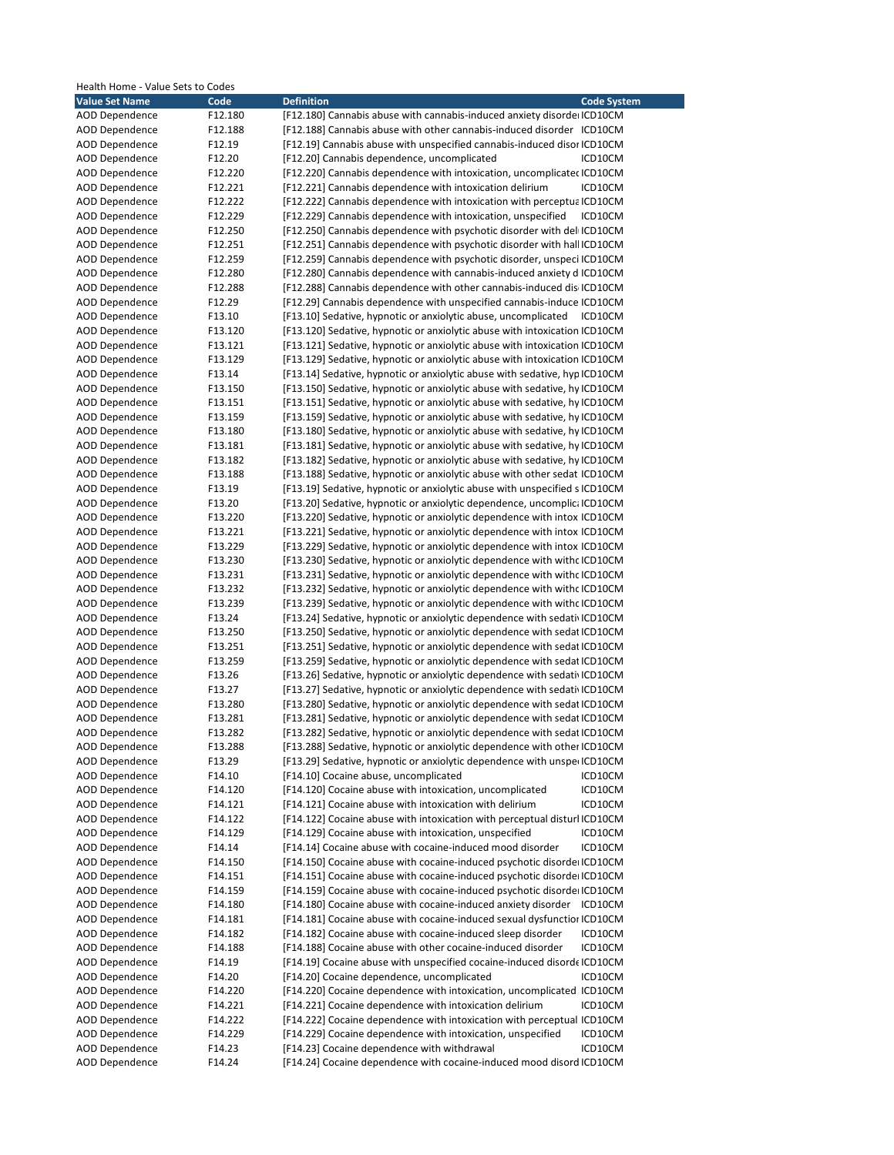| Health Home - Value Sets to Codes |         |                                                                            |
|-----------------------------------|---------|----------------------------------------------------------------------------|
| <b>Value Set Name</b>             | Code    | <b>Definition</b><br><b>Code System</b>                                    |
| <b>AOD Dependence</b>             | F12.180 | [F12.180] Cannabis abuse with cannabis-induced anxiety disorde ICD10CM     |
| AOD Dependence                    | F12.188 | [F12.188] Cannabis abuse with other cannabis-induced disorder ICD10CM      |
| <b>AOD Dependence</b>             | F12.19  | [F12.19] Cannabis abuse with unspecified cannabis-induced disor ICD10CM    |
| <b>AOD Dependence</b>             | F12.20  | [F12.20] Cannabis dependence, uncomplicated<br>ICD10CM                     |
| AOD Dependence                    | F12.220 | [F12.220] Cannabis dependence with intoxication, uncomplicated ICD10CM     |
| <b>AOD Dependence</b>             | F12.221 | [F12.221] Cannabis dependence with intoxication delirium<br>ICD10CM        |
| <b>AOD Dependence</b>             | F12.222 | [F12.222] Cannabis dependence with intoxication with perceptual CD10CM     |
| <b>AOD Dependence</b>             | F12.229 | [F12.229] Cannabis dependence with intoxication, unspecified               |
|                                   |         | ICD10CM                                                                    |
| AOD Dependence                    | F12.250 | [F12.250] Cannabis dependence with psychotic disorder with del ICD10CM     |
| AOD Dependence                    | F12.251 | [F12.251] Cannabis dependence with psychotic disorder with hall ICD10CM    |
| <b>AOD Dependence</b>             | F12.259 | [F12.259] Cannabis dependence with psychotic disorder, unspeci ICD10CM     |
| <b>AOD Dependence</b>             | F12.280 | [F12.280] Cannabis dependence with cannabis-induced anxiety d ICD10CM      |
| <b>AOD Dependence</b>             | F12.288 | [F12.288] Cannabis dependence with other cannabis-induced dis ICD10CM      |
| AOD Dependence                    | F12.29  | [F12.29] Cannabis dependence with unspecified cannabis-induce ICD10CM      |
| <b>AOD Dependence</b>             | F13.10  | [F13.10] Sedative, hypnotic or anxiolytic abuse, uncomplicated ICD10CM     |
| <b>AOD Dependence</b>             | F13.120 | [F13.120] Sedative, hypnotic or anxiolytic abuse with intoxication ICD10CM |
| <b>AOD Dependence</b>             | F13.121 | [F13.121] Sedative, hypnotic or anxiolytic abuse with intoxication ICD10CM |
| AOD Dependence                    | F13.129 | [F13.129] Sedative, hypnotic or anxiolytic abuse with intoxication ICD10CM |
| <b>AOD Dependence</b>             | F13.14  | [F13.14] Sedative, hypnotic or anxiolytic abuse with sedative, hyp ICD10CM |
| <b>AOD Dependence</b>             | F13.150 | [F13.150] Sedative, hypnotic or anxiolytic abuse with sedative, hy ICD10CM |
|                                   |         |                                                                            |
| AOD Dependence                    | F13.151 | [F13.151] Sedative, hypnotic or anxiolytic abuse with sedative, hy ICD10CM |
| <b>AOD Dependence</b>             | F13.159 | [F13.159] Sedative, hypnotic or anxiolytic abuse with sedative, hy ICD10CM |
| <b>AOD Dependence</b>             | F13.180 | [F13.180] Sedative, hypnotic or anxiolytic abuse with sedative, hy ICD10CM |
| <b>AOD Dependence</b>             | F13.181 | [F13.181] Sedative, hypnotic or anxiolytic abuse with sedative, hy ICD10CM |
| <b>AOD Dependence</b>             | F13.182 | [F13.182] Sedative, hypnotic or anxiolytic abuse with sedative, hy ICD10CM |
| AOD Dependence                    | F13.188 | [F13.188] Sedative, hypnotic or anxiolytic abuse with other sedat ICD10CM  |
| AOD Dependence                    | F13.19  | [F13.19] Sedative, hypnotic or anxiolytic abuse with unspecified s ICD10CM |
| <b>AOD Dependence</b>             | F13.20  | [F13.20] Sedative, hypnotic or anxiolytic dependence, uncomplica ICD10CM   |
| <b>AOD Dependence</b>             | F13.220 | [F13.220] Sedative, hypnotic or anxiolytic dependence with intox ICD10CM   |
| AOD Dependence                    | F13.221 | [F13.221] Sedative, hypnotic or anxiolytic dependence with intox ICD10CM   |
| AOD Dependence                    | F13.229 | [F13.229] Sedative, hypnotic or anxiolytic dependence with intox ICD10CM   |
| <b>AOD Dependence</b>             | F13.230 | [F13.230] Sedative, hypnotic or anxiolytic dependence with with CD10CM     |
| <b>AOD Dependence</b>             | F13.231 | [F13.231] Sedative, hypnotic or anxiolytic dependence with with cICD10CM   |
| AOD Dependence                    | F13.232 | [F13.232] Sedative, hypnotic or anxiolytic dependence with with cICD10CM   |
| <b>AOD Dependence</b>             | F13.239 | [F13.239] Sedative, hypnotic or anxiolytic dependence with with cICD10CM   |
|                                   |         |                                                                            |
| <b>AOD Dependence</b>             | F13.24  | [F13.24] Sedative, hypnotic or anxiolytic dependence with sedativ ICD10CM  |
| AOD Dependence                    | F13.250 | [F13.250] Sedative, hypnotic or anxiolytic dependence with sedat ICD10CM   |
| <b>AOD Dependence</b>             | F13.251 | [F13.251] Sedative, hypnotic or anxiolytic dependence with sedat ICD10CM   |
| <b>AOD Dependence</b>             | F13.259 | [F13.259] Sedative, hypnotic or anxiolytic dependence with sedat ICD10CM   |
| <b>AOD Dependence</b>             | F13.26  | [F13.26] Sedative, hypnotic or anxiolytic dependence with sedativ ICD10CM  |
| <b>AOD Dependence</b>             | F13.27  | [F13.27] Sedative, hypnotic or anxiolytic dependence with sedati ICD10CM   |
| <b>AOD Dependence</b>             | F13.280 | [F13.280] Sedative, hypnotic or anxiolytic dependence with sedat ICD10CM   |
| <b>AOD Dependence</b>             | F13.281 | [F13.281] Sedative, hypnotic or anxiolytic dependence with sedat ICD10CM   |
| AOD Dependence                    | F13.282 | [F13.282] Sedative, hypnotic or anxiolytic dependence with sedat ICD10CM   |
| <b>AOD Dependence</b>             | F13.288 | [F13.288] Sedative, hypnotic or anxiolytic dependence with other ICD10CM   |
| <b>AOD Dependence</b>             | F13.29  | [F13.29] Sedative, hypnotic or anxiolytic dependence with unsper ICD10CM   |
| AOD Dependence                    | F14.10  | [F14.10] Cocaine abuse, uncomplicated<br>ICD10CM                           |
| <b>AOD Dependence</b>             | F14.120 | [F14.120] Cocaine abuse with intoxication, uncomplicated<br>ICD10CM        |
| <b>AOD Dependence</b>             | F14.121 | [F14.121] Cocaine abuse with intoxication with delirium<br>ICD10CM         |
| <b>AOD Dependence</b>             | F14.122 | [F14.122] Cocaine abuse with intoxication with perceptual disturl ICD10CM  |
| AOD Dependence                    | F14.129 | [F14.129] Cocaine abuse with intoxication, unspecified<br>ICD10CM          |
|                                   |         | ICD10CM                                                                    |
| AOD Dependence                    | F14.14  | [F14.14] Cocaine abuse with cocaine-induced mood disorder                  |
| <b>AOD Dependence</b>             | F14.150 | [F14.150] Cocaine abuse with cocaine-induced psychotic disorde ICD10CM     |
| <b>AOD Dependence</b>             | F14.151 | [F14.151] Cocaine abuse with cocaine-induced psychotic disorde ICD10CM     |
| <b>AOD Dependence</b>             | F14.159 | [F14.159] Cocaine abuse with cocaine-induced psychotic disorde ICD10CM     |
| <b>AOD Dependence</b>             | F14.180 | [F14.180] Cocaine abuse with cocaine-induced anxiety disorder ICD10CM      |
| <b>AOD Dependence</b>             | F14.181 | [F14.181] Cocaine abuse with cocaine-induced sexual dysfunctior ICD10CM    |
| <b>AOD Dependence</b>             | F14.182 | [F14.182] Cocaine abuse with cocaine-induced sleep disorder<br>ICD10CM     |
| AOD Dependence                    | F14.188 | [F14.188] Cocaine abuse with other cocaine-induced disorder<br>ICD10CM     |
| <b>AOD Dependence</b>             | F14.19  | [F14.19] Cocaine abuse with unspecified cocaine-induced disorde ICD10CM    |
| <b>AOD Dependence</b>             | F14.20  | [F14.20] Cocaine dependence, uncomplicated<br>ICD10CM                      |
| AOD Dependence                    | F14.220 | [F14.220] Cocaine dependence with intoxication, uncomplicated ICD10CM      |
| AOD Dependence                    | F14.221 | [F14.221] Cocaine dependence with intoxication delirium<br>ICD10CM         |
| AOD Dependence                    | F14.222 | [F14.222] Cocaine dependence with intoxication with perceptual ICD10CM     |
| <b>AOD Dependence</b>             | F14.229 | [F14.229] Cocaine dependence with intoxication, unspecified<br>ICD10CM     |
|                                   |         |                                                                            |
| AOD Dependence                    | F14.23  | [F14.23] Cocaine dependence with withdrawal<br>ICD10CM                     |
| AOD Dependence                    | F14.24  | [F14.24] Cocaine dependence with cocaine-induced mood disord ICD10CM       |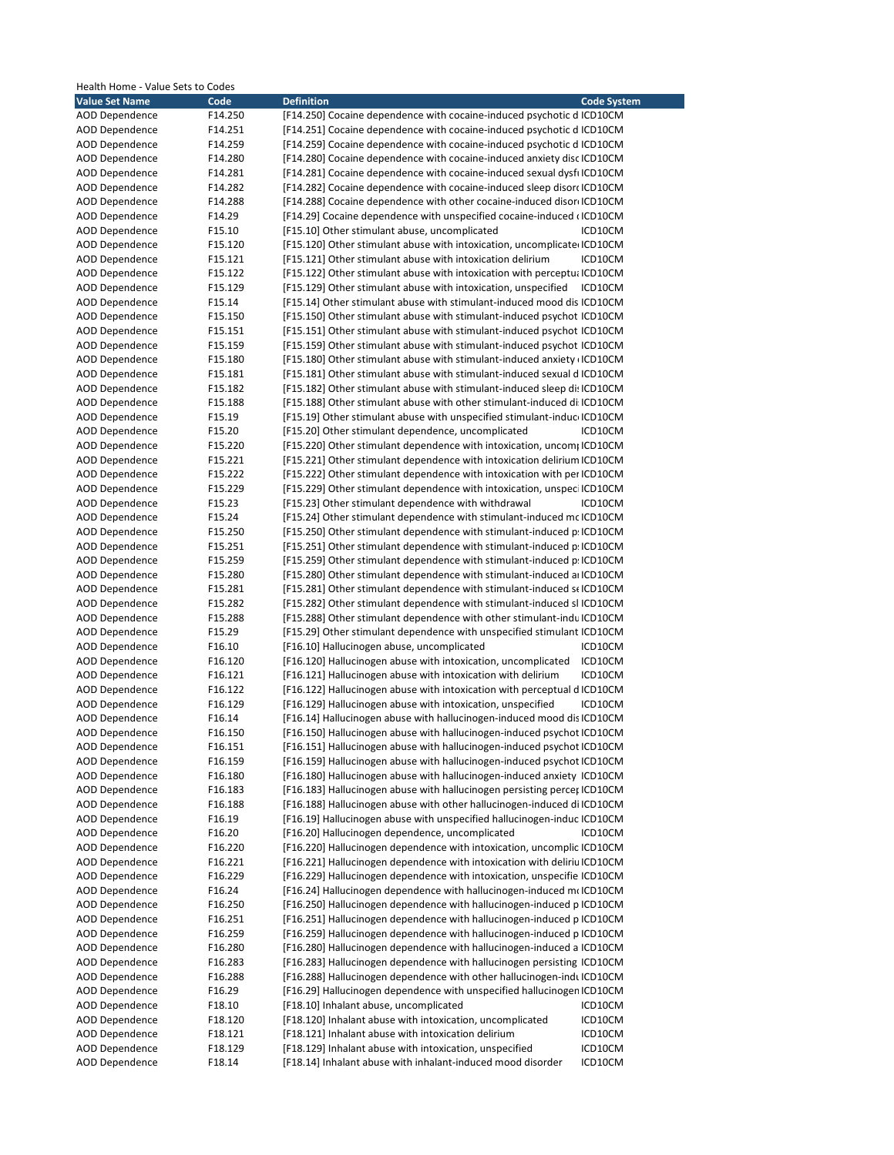| Health Home - Value Sets to Codes |         |                                                                          |                    |
|-----------------------------------|---------|--------------------------------------------------------------------------|--------------------|
| <b>Value Set Name</b>             | Code    | <b>Definition</b>                                                        | <b>Code System</b> |
| <b>AOD Dependence</b>             | F14.250 | [F14.250] Cocaine dependence with cocaine-induced psychotic d ICD10CM    |                    |
| <b>AOD Dependence</b>             | F14.251 | [F14.251] Cocaine dependence with cocaine-induced psychotic d ICD10CM    |                    |
| <b>AOD Dependence</b>             | F14.259 | [F14.259] Cocaine dependence with cocaine-induced psychotic d ICD10CM    |                    |
| <b>AOD Dependence</b>             | F14.280 | [F14.280] Cocaine dependence with cocaine-induced anxiety disc ICD10CM   |                    |
| <b>AOD Dependence</b>             | F14.281 | [F14.281] Cocaine dependence with cocaine-induced sexual dysfilCD10CM    |                    |
| <b>AOD Dependence</b>             | F14.282 | [F14.282] Cocaine dependence with cocaine-induced sleep disor ICD10CM    |                    |
| <b>AOD Dependence</b>             | F14.288 | [F14.288] Cocaine dependence with other cocaine-induced disor ICD10CM    |                    |
| <b>AOD Dependence</b>             | F14.29  | [F14.29] Cocaine dependence with unspecified cocaine-induced (ICD10CM    |                    |
| <b>AOD Dependence</b>             | F15.10  | [F15.10] Other stimulant abuse, uncomplicated                            | ICD10CM            |
| <b>AOD Dependence</b>             | F15.120 | [F15.120] Other stimulant abuse with intoxication, uncomplicate ICD10CM  |                    |
| <b>AOD Dependence</b>             | F15.121 | [F15.121] Other stimulant abuse with intoxication delirium               | ICD10CM            |
| <b>AOD Dependence</b>             | F15.122 | [F15.122] Other stimulant abuse with intoxication with perceptu; ICD10CM |                    |
| <b>AOD Dependence</b>             | F15.129 | [F15.129] Other stimulant abuse with intoxication, unspecified           | ICD10CM            |
| <b>AOD Dependence</b>             | F15.14  | [F15.14] Other stimulant abuse with stimulant-induced mood dis ICD10CM   |                    |
| <b>AOD Dependence</b>             | F15.150 | [F15.150] Other stimulant abuse with stimulant-induced psychot ICD10CM   |                    |
| <b>AOD Dependence</b>             | F15.151 | [F15.151] Other stimulant abuse with stimulant-induced psychot ICD10CM   |                    |
| <b>AOD Dependence</b>             | F15.159 | [F15.159] Other stimulant abuse with stimulant-induced psychot ICD10CM   |                    |
| <b>AOD Dependence</b>             | F15.180 | [F15.180] Other stimulant abuse with stimulant-induced anxiety (ICD10CM  |                    |
| <b>AOD Dependence</b>             | F15.181 | [F15.181] Other stimulant abuse with stimulant-induced sexual d ICD10CM  |                    |
| <b>AOD Dependence</b>             | F15.182 | [F15.182] Other stimulant abuse with stimulant-induced sleep di: ICD10CM |                    |
| <b>AOD Dependence</b>             | F15.188 |                                                                          |                    |
|                                   |         | [F15.188] Other stimulant abuse with other stimulant-induced di ICD10CM  |                    |
| <b>AOD Dependence</b>             | F15.19  | [F15.19] Other stimulant abuse with unspecified stimulant-induc ICD10CM  |                    |
| <b>AOD Dependence</b>             | F15.20  | [F15.20] Other stimulant dependence, uncomplicated                       | ICD10CM            |
| <b>AOD Dependence</b>             | F15.220 | [F15.220] Other stimulant dependence with intoxication, uncom; ICD10CM   |                    |
| <b>AOD Dependence</b>             | F15.221 | [F15.221] Other stimulant dependence with intoxication delirium ICD10CM  |                    |
| <b>AOD Dependence</b>             | F15.222 | [F15.222] Other stimulant dependence with intoxication with per ICD10CM  |                    |
| <b>AOD Dependence</b>             | F15.229 | [F15.229] Other stimulant dependence with intoxication, unspeci ICD10CM  |                    |
| <b>AOD Dependence</b>             | F15.23  | [F15.23] Other stimulant dependence with withdrawal                      | ICD10CM            |
| <b>AOD Dependence</b>             | F15.24  | [F15.24] Other stimulant dependence with stimulant-induced mc ICD10CM    |                    |
| <b>AOD Dependence</b>             | F15.250 | [F15.250] Other stimulant dependence with stimulant-induced p. ICD10CM   |                    |
| <b>AOD Dependence</b>             | F15.251 | [F15.251] Other stimulant dependence with stimulant-induced p. ICD10CM   |                    |
| <b>AOD Dependence</b>             | F15.259 | [F15.259] Other stimulant dependence with stimulant-induced p. ICD10CM   |                    |
| <b>AOD Dependence</b>             | F15.280 | [F15.280] Other stimulant dependence with stimulant-induced a ICD10CM    |                    |
| AOD Dependence                    | F15.281 | [F15.281] Other stimulant dependence with stimulant-induced st ICD10CM   |                    |
| <b>AOD Dependence</b>             | F15.282 | [F15.282] Other stimulant dependence with stimulant-induced sl ICD10CM   |                    |
| <b>AOD Dependence</b>             | F15.288 | [F15.288] Other stimulant dependence with other stimulant-indu ICD10CM   |                    |
| <b>AOD Dependence</b>             | F15.29  | [F15.29] Other stimulant dependence with unspecified stimulant ICD10CM   |                    |
| AOD Dependence                    | F16.10  | [F16.10] Hallucinogen abuse, uncomplicated                               | ICD10CM            |
| AOD Dependence                    | F16.120 | [F16.120] Hallucinogen abuse with intoxication, uncomplicated            | ICD10CM            |
| <b>AOD Dependence</b>             | F16.121 | [F16.121] Hallucinogen abuse with intoxication with delirium             | ICD10CM            |
| <b>AOD Dependence</b>             | F16.122 | [F16.122] Hallucinogen abuse with intoxication with perceptual d ICD10CM |                    |
| <b>AOD Dependence</b>             | F16.129 | [F16.129] Hallucinogen abuse with intoxication, unspecified              | ICD10CM            |
| <b>AOD Dependence</b>             | F16.14  | [F16.14] Hallucinogen abuse with hallucinogen-induced mood dis ICD10CM   |                    |
| <b>AOD Dependence</b>             | F16.150 | [F16.150] Hallucinogen abuse with hallucinogen-induced psychot ICD10CM   |                    |
| <b>AOD Dependence</b>             | F16.151 | [F16.151] Hallucinogen abuse with hallucinogen-induced psychot ICD10CM   |                    |
| <b>AOD Dependence</b>             | F16.159 | [F16.159] Hallucinogen abuse with hallucinogen-induced psychot ICD10CM   |                    |
| <b>AOD Dependence</b>             | F16.180 | [F16.180] Hallucinogen abuse with hallucinogen-induced anxiety ICD10CM   |                    |
| <b>AOD Dependence</b>             | F16.183 | [F16.183] Hallucinogen abuse with hallucinogen persisting percer ICD10CM |                    |
| <b>AOD Dependence</b>             | F16.188 | [F16.188] Hallucinogen abuse with other hallucinogen-induced di ICD10CM  |                    |
| <b>AOD Dependence</b>             | F16.19  | [F16.19] Hallucinogen abuse with unspecified hallucinogen-induc ICD10CM  |                    |
| <b>AOD Dependence</b>             | F16.20  | [F16.20] Hallucinogen dependence, uncomplicated                          | ICD10CM            |
| <b>AOD Dependence</b>             | F16.220 | [F16.220] Hallucinogen dependence with intoxication, uncomplic ICD10CM   |                    |
| <b>AOD Dependence</b>             | F16.221 | [F16.221] Hallucinogen dependence with intoxication with deliriu ICD10CM |                    |
| <b>AOD Dependence</b>             | F16.229 | [F16.229] Hallucinogen dependence with intoxication, unspecifie ICD10CM  |                    |
| AOD Dependence                    | F16.24  | [F16.24] Hallucinogen dependence with hallucinogen-induced moICD10CM     |                    |
| <b>AOD Dependence</b>             | F16.250 | [F16.250] Hallucinogen dependence with hallucinogen-induced p ICD10CM    |                    |
| <b>AOD Dependence</b>             | F16.251 | [F16.251] Hallucinogen dependence with hallucinogen-induced p ICD10CM    |                    |
| <b>AOD Dependence</b>             | F16.259 | [F16.259] Hallucinogen dependence with hallucinogen-induced p ICD10CM    |                    |
| <b>AOD Dependence</b>             | F16.280 | [F16.280] Hallucinogen dependence with hallucinogen-induced a ICD10CM    |                    |
| <b>AOD Dependence</b>             | F16.283 | [F16.283] Hallucinogen dependence with hallucinogen persisting ICD10CM   |                    |
| <b>AOD Dependence</b>             | F16.288 | [F16.288] Hallucinogen dependence with other hallucinogen-indu ICD10CM   |                    |
| <b>AOD Dependence</b>             | F16.29  | [F16.29] Hallucinogen dependence with unspecified hallucinogen ICD10CM   |                    |
| <b>AOD Dependence</b>             | F18.10  | [F18.10] Inhalant abuse, uncomplicated                                   | ICD10CM            |
| <b>AOD Dependence</b>             | F18.120 | [F18.120] Inhalant abuse with intoxication, uncomplicated                | ICD10CM            |
| <b>AOD Dependence</b>             | F18.121 | [F18.121] Inhalant abuse with intoxication delirium                      | ICD10CM            |
| <b>AOD Dependence</b>             | F18.129 | [F18.129] Inhalant abuse with intoxication, unspecified                  | ICD10CM            |
| AOD Dependence                    | F18.14  | [F18.14] Inhalant abuse with inhalant-induced mood disorder              | ICD10CM            |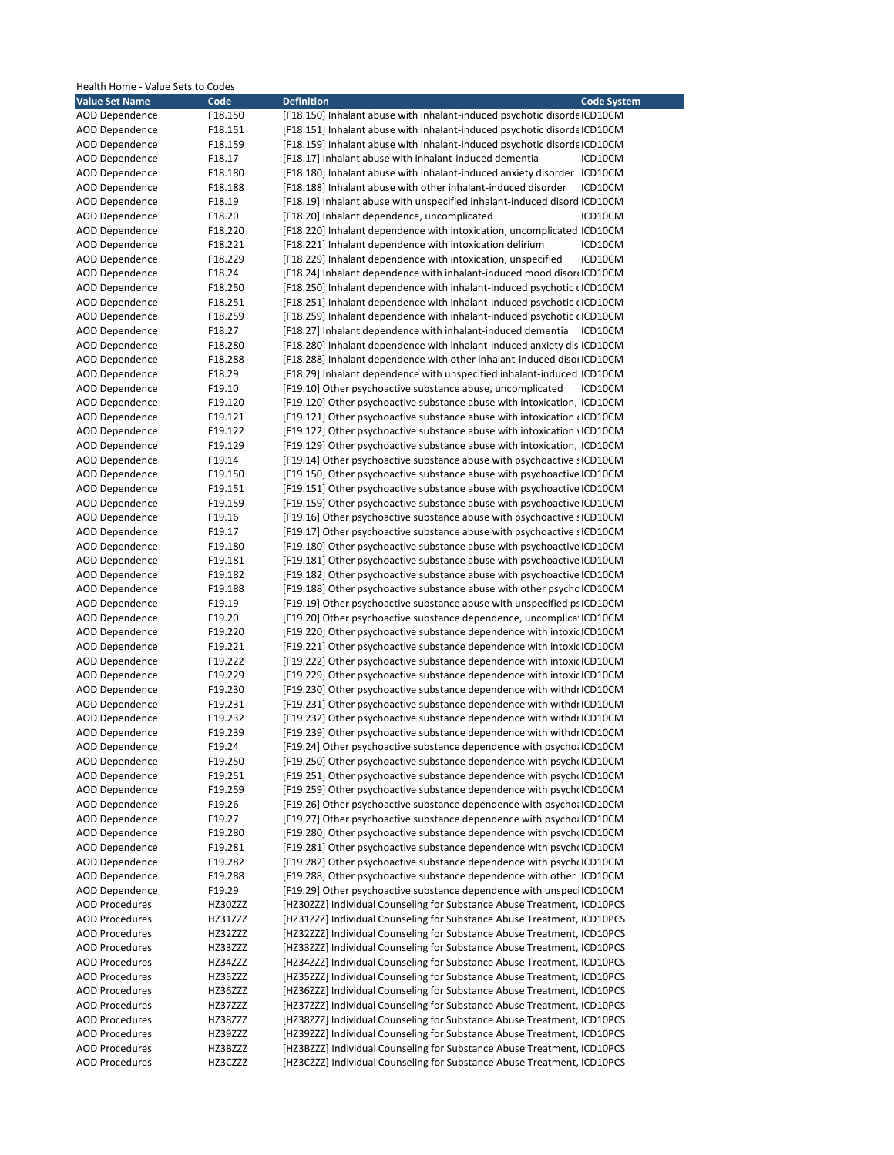| Health Home - Value Sets to Codes |                    |                                                                                                                                                  |                    |
|-----------------------------------|--------------------|--------------------------------------------------------------------------------------------------------------------------------------------------|--------------------|
| <b>Value Set Name</b>             | Code               | <b>Definition</b>                                                                                                                                | <b>Code System</b> |
| <b>AOD Dependence</b>             | F18.150            | [F18.150] Inhalant abuse with inhalant-induced psychotic disorde ICD10CM                                                                         |                    |
| <b>AOD Dependence</b>             | F18.151            | [F18.151] Inhalant abuse with inhalant-induced psychotic disorde ICD10CM                                                                         |                    |
| <b>AOD Dependence</b>             | F18.159            | [F18.159] Inhalant abuse with inhalant-induced psychotic disorde ICD10CM                                                                         |                    |
| <b>AOD Dependence</b>             | F18.17             | [F18.17] Inhalant abuse with inhalant-induced dementia                                                                                           | ICD10CM            |
| AOD Dependence                    | F18.180            | [F18.180] Inhalant abuse with inhalant-induced anxiety disorder ICD10CM                                                                          |                    |
| <b>AOD Dependence</b>             | F18.188            | [F18.188] Inhalant abuse with other inhalant-induced disorder                                                                                    | ICD10CM            |
| <b>AOD Dependence</b>             | F18.19             | [F18.19] Inhalant abuse with unspecified inhalant-induced disord ICD10CM                                                                         |                    |
| <b>AOD Dependence</b>             | F18.20             | [F18.20] Inhalant dependence, uncomplicated                                                                                                      | ICD10CM            |
| <b>AOD Dependence</b>             | F18.220            | [F18.220] Inhalant dependence with intoxication, uncomplicated ICD10CM                                                                           |                    |
| AOD Dependence                    | F18.221            | [F18.221] Inhalant dependence with intoxication delirium                                                                                         | ICD10CM            |
| <b>AOD Dependence</b>             | F18.229            | [F18.229] Inhalant dependence with intoxication, unspecified                                                                                     | ICD10CM            |
| <b>AOD Dependence</b>             | F18.24             | [F18.24] Inhalant dependence with inhalant-induced mood disor ICD10CM                                                                            |                    |
| <b>AOD Dependence</b>             | F18.250            | [F18.250] Inhalant dependence with inhalant-induced psychotic (ICD10CM                                                                           |                    |
| AOD Dependence                    | F18.251            | [F18.251] Inhalant dependence with inhalant-induced psychotic (ICD10CM                                                                           |                    |
| <b>AOD Dependence</b>             | F18.259            | [F18.259] Inhalant dependence with inhalant-induced psychotic (ICD10CM                                                                           |                    |
| <b>AOD Dependence</b>             | F18.27             | [F18.27] Inhalant dependence with inhalant-induced dementia                                                                                      | ICD10CM            |
| <b>AOD Dependence</b>             | F18.280            | [F18.280] Inhalant dependence with inhalant-induced anxiety dis ICD10CM                                                                          |                    |
| <b>AOD Dependence</b>             | F18.288            | [F18.288] Inhalant dependence with other inhalant-induced disor ICD10CM                                                                          |                    |
| <b>AOD Dependence</b>             | F18.29             | [F18.29] Inhalant dependence with unspecified inhalant-induced ICD10CM                                                                           |                    |
| <b>AOD Dependence</b>             | F19.10             | [F19.10] Other psychoactive substance abuse, uncomplicated                                                                                       | ICD10CM            |
| <b>AOD Dependence</b>             | F19.120            | [F19.120] Other psychoactive substance abuse with intoxication, ICD10CM                                                                          |                    |
| AOD Dependence                    | F19.121            | [F19.121] Other psychoactive substance abuse with intoxication (ICD10CM                                                                          |                    |
| <b>AOD Dependence</b>             | F19.122            | [F19.122] Other psychoactive substance abuse with intoxication (ICD10CM)                                                                         |                    |
| <b>AOD Dependence</b>             | F19.129            | [F19.129] Other psychoactive substance abuse with intoxication, ICD10CM                                                                          |                    |
| <b>AOD Dependence</b>             | F19.14             | [F19.14] Other psychoactive substance abuse with psychoactive sICD10CM                                                                           |                    |
| AOD Dependence<br>AOD Dependence  | F19.150<br>F19.151 | [F19.150] Other psychoactive substance abuse with psychoactive ICD10CM<br>[F19.151] Other psychoactive substance abuse with psychoactive ICD10CM |                    |
| <b>AOD Dependence</b>             | F19.159            | [F19.159] Other psychoactive substance abuse with psychoactive ICD10CM                                                                           |                    |
| <b>AOD Dependence</b>             | F19.16             | [F19.16] Other psychoactive substance abuse with psychoactive sICD10CM                                                                           |                    |
| AOD Dependence                    | F19.17             | [F19.17] Other psychoactive substance abuse with psychoactive : ICD10CM                                                                          |                    |
| AOD Dependence                    | F19.180            | [F19.180] Other psychoactive substance abuse with psychoactive ICD10CM                                                                           |                    |
| <b>AOD Dependence</b>             | F19.181            | [F19.181] Other psychoactive substance abuse with psychoactive ICD10CM                                                                           |                    |
| <b>AOD Dependence</b>             | F19.182            | [F19.182] Other psychoactive substance abuse with psychoactive ICD10CM                                                                           |                    |
| AOD Dependence                    | F19.188            | [F19.188] Other psychoactive substance abuse with other psychc ICD10CM                                                                           |                    |
| <b>AOD Dependence</b>             | F19.19             | [F19.19] Other psychoactive substance abuse with unspecified ps ICD10CM                                                                          |                    |
| <b>AOD Dependence</b>             | F19.20             | [F19.20] Other psychoactive substance dependence, uncomplica ICD10CM                                                                             |                    |
| <b>AOD Dependence</b>             | F19.220            | [F19.220] Other psychoactive substance dependence with intoxic ICD10CM                                                                           |                    |
| <b>AOD Dependence</b>             | F19.221            | [F19.221] Other psychoactive substance dependence with intoxic ICD10CM                                                                           |                    |
| AOD Dependence                    | F19.222            | [F19.222] Other psychoactive substance dependence with intoxic ICD10CM                                                                           |                    |
| <b>AOD Dependence</b>             | F19.229            | [F19.229] Other psychoactive substance dependence with intoxic ICD10CM                                                                           |                    |
| <b>AOD Dependence</b>             | F19.230            | [F19.230] Other psychoactive substance dependence with withdi ICD10CM                                                                            |                    |
| <b>AOD Dependence</b>             | F19.231            | [F19.231] Other psychoactive substance dependence with withdi ICD10CM                                                                            |                    |
| <b>AOD Dependence</b>             | F19.232            | [F19.232] Other psychoactive substance dependence with withdi ICD10CM                                                                            |                    |
| AOD Dependence                    | F19.239            | [F19.239] Other psychoactive substance dependence with withdı ICD10CM                                                                            |                    |
| <b>AOD Dependence</b>             | F19.24             | [F19.24] Other psychoactive substance dependence with psycho: ICD10CM                                                                            |                    |
| <b>AOD Dependence</b>             | F19.250            | [F19.250] Other psychoactive substance dependence with psycholCD10CM                                                                             |                    |
| <b>AOD Dependence</b>             | F19.251            | [F19.251] Other psychoactive substance dependence with psych ICD10CM                                                                             |                    |
| <b>AOD Dependence</b>             | F19.259            | [F19.259] Other psychoactive substance dependence with psych ICD10CM                                                                             |                    |
| <b>AOD Dependence</b>             | F19.26             | [F19.26] Other psychoactive substance dependence with psycho; ICD10CM                                                                            |                    |
| <b>AOD Dependence</b>             | F19.27             | [F19.27] Other psychoactive substance dependence with psycho; ICD10CM                                                                            |                    |
| <b>AOD Dependence</b>             | F19.280            | [F19.280] Other psychoactive substance dependence with psych ICD10CM                                                                             |                    |
| <b>AOD Dependence</b>             | F19.281            | [F19.281] Other psychoactive substance dependence with psych ICD10CM                                                                             |                    |
| <b>AOD Dependence</b>             | F19.282            | [F19.282] Other psychoactive substance dependence with psych(ICD10CM                                                                             |                    |
| <b>AOD Dependence</b>             | F19.288            | [F19.288] Other psychoactive substance dependence with other ICD10CM                                                                             |                    |
| <b>AOD Dependence</b>             | F19.29             | [F19.29] Other psychoactive substance dependence with unspeci ICD10CM                                                                            |                    |
| <b>AOD Procedures</b>             | HZ30ZZZ            | [HZ30ZZZ] Individual Counseling for Substance Abuse Treatment, ICD10PCS                                                                          |                    |
| <b>AOD Procedures</b>             | HZ31ZZZ            | [HZ31ZZZ] Individual Counseling for Substance Abuse Treatment, ICD10PCS                                                                          |                    |
| <b>AOD Procedures</b>             | HZ32ZZZ            | [HZ32ZZZ] Individual Counseling for Substance Abuse Treatment, ICD10PCS                                                                          |                    |
| <b>AOD Procedures</b>             | HZ33ZZZ            | [HZ33ZZZ] Individual Counseling for Substance Abuse Treatment, ICD10PCS                                                                          |                    |
| <b>AOD Procedures</b>             | HZ34ZZZ            | [HZ34ZZZ] Individual Counseling for Substance Abuse Treatment, ICD10PCS                                                                          |                    |
| <b>AOD Procedures</b>             | HZ35ZZZ            | [HZ35ZZZ] Individual Counseling for Substance Abuse Treatment, ICD10PCS                                                                          |                    |
| <b>AOD Procedures</b>             | HZ36ZZZ            | [HZ36ZZZ] Individual Counseling for Substance Abuse Treatment, ICD10PCS                                                                          |                    |
| <b>AOD Procedures</b>             | HZ37ZZZ            | [HZ37ZZZ] Individual Counseling for Substance Abuse Treatment, ICD10PCS                                                                          |                    |
| <b>AOD Procedures</b>             | HZ38ZZZ            | [HZ38ZZZ] Individual Counseling for Substance Abuse Treatment, ICD10PCS                                                                          |                    |
| <b>AOD Procedures</b>             | HZ39ZZZ            | [HZ39ZZZ] Individual Counseling for Substance Abuse Treatment, ICD10PCS                                                                          |                    |
| <b>AOD Procedures</b>             | HZ3BZZZ            | [HZ3BZZZ] Individual Counseling for Substance Abuse Treatment, ICD10PCS                                                                          |                    |
| <b>AOD Procedures</b>             | HZ3CZZZ            | [HZ3CZZZ] Individual Counseling for Substance Abuse Treatment, ICD10PCS                                                                          |                    |